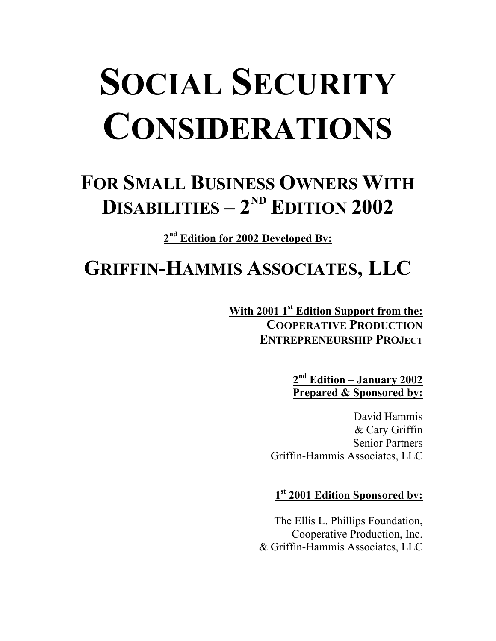# **SOCIAL SECURITY CONSIDERATIONS**

# **FOR SMALL BUSINESS OWNERS WITH DISABILITIES –**  $2^{ND}$  **<b>EDITION 2002**

**2nd Edition for 2002 Developed By:** 

# **GRIFFIN-HAMMIS ASSOCIATES, LLC**

**With 2001 1st Edition Support from the: COOPERATIVE PRODUCTION ENTREPRENEURSHIP PROJECT**

> **2nd Edition – January 2002 Prepared & Sponsored by:**

David Hammis & Cary Griffin Senior Partners Griffin-Hammis Associates, LLC

**1st 2001 Edition Sponsored by:**

The Ellis L. Phillips Foundation, Cooperative Production, Inc. & Griffin-Hammis Associates, LLC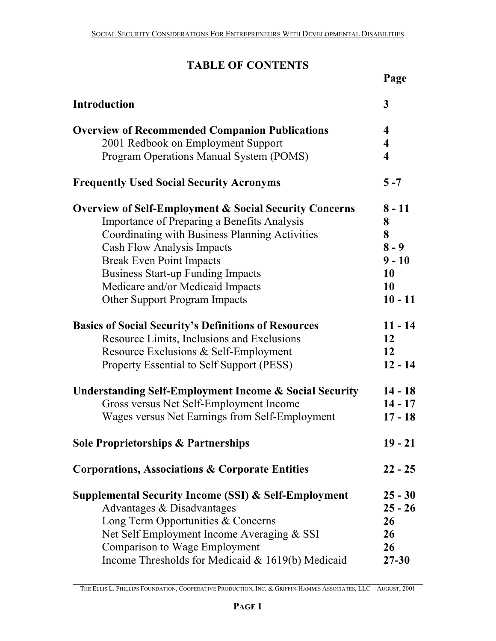# **TABLE OF CONTENTS**

|                                                                   | Page                    |
|-------------------------------------------------------------------|-------------------------|
| <b>Introduction</b>                                               | 3                       |
| <b>Overview of Recommended Companion Publications</b>             | 4                       |
| 2001 Redbook on Employment Support                                | $\overline{\mathbf{4}}$ |
| Program Operations Manual System (POMS)                           | 4                       |
| <b>Frequently Used Social Security Acronyms</b>                   | $5 - 7$                 |
| <b>Overview of Self-Employment &amp; Social Security Concerns</b> | $8 - 11$                |
| Importance of Preparing a Benefits Analysis                       | 8                       |
| Coordinating with Business Planning Activities                    | 8                       |
| <b>Cash Flow Analysis Impacts</b>                                 | $8 - 9$                 |
| <b>Break Even Point Impacts</b>                                   | $9 - 10$                |
| <b>Business Start-up Funding Impacts</b>                          | 10                      |
| Medicare and/or Medicaid Impacts                                  | 10                      |
| <b>Other Support Program Impacts</b>                              | $10 - 11$               |
| <b>Basics of Social Security's Definitions of Resources</b>       | $11 - 14$               |
| Resource Limits, Inclusions and Exclusions                        | 12                      |
| Resource Exclusions & Self-Employment                             | 12                      |
| Property Essential to Self Support (PESS)                         | $12 - 14$               |
| <b>Understanding Self-Employment Income &amp; Social Security</b> | $14 - 18$               |
| Gross versus Net Self-Employment Income                           | $14 - 17$               |
| Wages versus Net Earnings from Self-Employment                    | $17 - 18$               |
| <b>Sole Proprietorships &amp; Partnerships</b>                    | $19 - 21$               |
| <b>Corporations, Associations &amp; Corporate Entities</b>        | $22 - 25$               |
| <b>Supplemental Security Income (SSI) &amp; Self-Employment</b>   | $25 - 30$               |
| Advantages & Disadvantages                                        | $25 - 26$               |
| Long Term Opportunities & Concerns                                | 26                      |
| Net Self Employment Income Averaging & SSI                        | 26                      |
| Comparison to Wage Employment                                     | 26                      |
| Income Thresholds for Medicaid $& 1619(b)$ Medicaid               | $27 - 30$               |

**\_\_\_\_\_\_\_\_\_\_\_\_\_\_\_\_\_\_\_\_\_\_\_\_\_\_\_\_\_\_\_\_\_\_\_\_\_\_\_\_\_\_\_\_\_\_\_\_\_\_\_\_\_\_\_\_\_\_\_\_\_\_\_\_\_\_\_\_\_\_\_\_**  THE ELLIS L. PHILLIPS FOUNDATION, COOPERATIVE PRODUCTION, INC. & GRIFFIN-HAMMIS ASSOCIATES, LLC AUGUST, 2001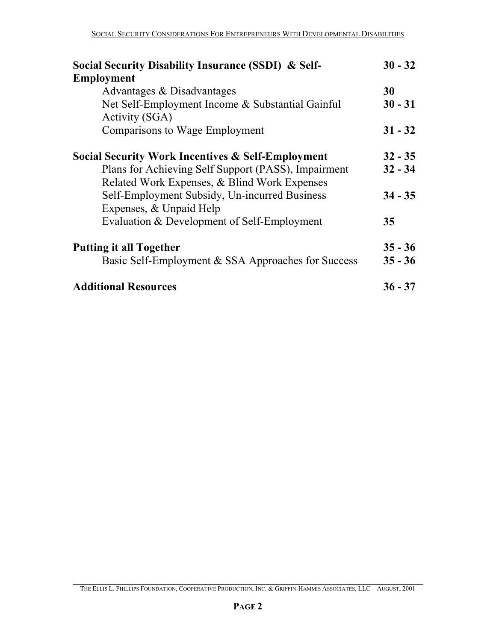| Social Security Disability Insurance (SSDI) & Self-                      | $30 - 32$ |
|--------------------------------------------------------------------------|-----------|
| <b>Employment</b>                                                        |           |
| Advantages & Disadvantages                                               | 30        |
| Net Self-Employment Income & Substantial Gainful<br>Activity (SGA)       | $30 - 31$ |
| <b>Comparisons to Wage Employment</b>                                    | $31 - 32$ |
| <b>Social Security Work Incentives &amp; Self-Employment</b>             | $32 - 35$ |
| Plans for Achieving Self Support (PASS), Impairment                      | $32 - 34$ |
| Related Work Expenses, & Blind Work Expenses                             |           |
| Self-Employment Subsidy, Un-incurred Business<br>Expenses, & Unpaid Help | $34 - 35$ |
| Evaluation & Development of Self-Employment                              | 35        |
| <b>Putting it all Together</b>                                           | $35 - 36$ |
| Basic Self-Employment & SSA Approaches for Success                       | $35 - 36$ |
| <b>Additional Resources</b>                                              | $36 - 37$ |

**\_\_\_\_\_\_\_\_\_\_\_\_\_\_\_\_\_\_\_\_\_\_\_\_\_\_\_\_\_\_\_\_\_\_\_\_\_\_\_\_\_\_\_\_\_\_\_\_\_\_\_\_\_\_\_\_\_\_\_\_\_\_\_\_\_\_\_\_\_\_\_\_**  THE ELLIS L. PHILLIPS FOUNDATION, COOPERATIVE PRODUCTION, INC. & GRIFFIN-HAMMIS ASSOCIATES, LLC AUGUST, 2001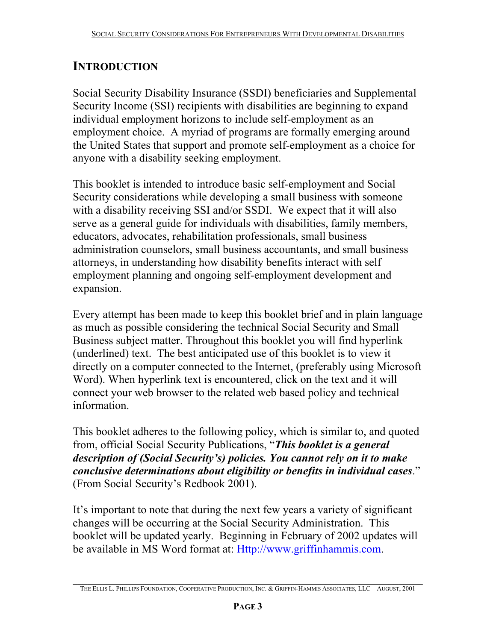# **INTRODUCTION**

Social Security Disability Insurance (SSDI) beneficiaries and Supplemental Security Income (SSI) recipients with disabilities are beginning to expand individual employment horizons to include self-employment as an employment choice. A myriad of programs are formally emerging around the United States that support and promote self-employment as a choice for anyone with a disability seeking employment.

This booklet is intended to introduce basic self-employment and Social Security considerations while developing a small business with someone with a disability receiving SSI and/or SSDI. We expect that it will also serve as a general guide for individuals with disabilities, family members, educators, advocates, rehabilitation professionals, small business administration counselors, small business accountants, and small business attorneys, in understanding how disability benefits interact with self employment planning and ongoing self-employment development and expansion.

Every attempt has been made to keep this booklet brief and in plain language as much as possible considering the technical Social Security and Small Business subject matter. Throughout this booklet you will find hyperlink (underlined) text. The best anticipated use of this booklet is to view it directly on a computer connected to the Internet, (preferably using Microsoft Word). When hyperlink text is encountered, click on the text and it will connect your web browser to the related web based policy and technical information.

This booklet adheres to the following policy, which is similar to, and quoted from, official Social Security Publications, "*This booklet is a general description of (Social Security's) policies. You cannot rely on it to make conclusive determinations about eligibility or benefits in individual cases*." (From Social Security's Redbook 2001).

It's important to note that during the next few years a variety of significant changes will be occurring at the Social Security Administration. This booklet will be updated yearly. Beginning in February of 2002 updates will be available in MS Word format at: Http://www.griffinhammis.com.

**\_\_\_\_\_\_\_\_\_\_\_\_\_\_\_\_\_\_\_\_\_\_\_\_\_\_\_\_\_\_\_\_\_\_\_\_\_\_\_\_\_\_\_\_\_\_\_\_\_\_\_\_\_\_\_\_\_\_\_\_\_\_\_\_\_\_\_\_\_\_\_\_**  THE ELLIS L. PHILLIPS FOUNDATION, COOPERATIVE PRODUCTION, INC. & GRIFFIN-HAMMIS ASSOCIATES, LLC AUGUST, 2001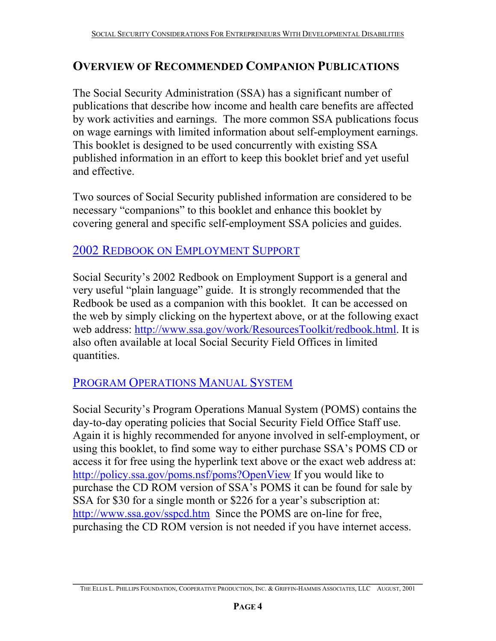# **OVERVIEW OF RECOMMENDED COMPANION PUBLICATIONS**

The Social Security Administration (SSA) has a significant number of publications that describe how income and health care benefits are affected by work activities and earnings. The more common SSA publications focus on wage earnings with limited information about self-employment earnings. This booklet is designed to be used concurrently with existing SSA published information in an effort to keep this booklet brief and yet useful and effective.

Two sources of Social Security published information are considered to be necessary "companions" to this booklet and enhance this booklet by covering general and specific self-employment SSA policies and guides.

# 2002 REDBOOK ON EMPLOYMENT SUPPORT

Social Security's 2002 Redbook on Employment Support is a general and very useful "plain language" guide. It is strongly recommended that the Redbook be used as a companion with this booklet. It can be accessed on the web by simply clicking on the hypertext above, or at the following exact web address: http://www.ssa.gov/work/ResourcesToolkit/redbook.html. It is also often available at local Social Security Field Offices in limited quantities.

# PROGRAM OPERATIONS MANUAL SYSTEM

Social Security's Program Operations Manual System (POMS) contains the day-to-day operating policies that Social Security Field Office Staff use. Again it is highly recommended for anyone involved in self-employment, or using this booklet, to find some way to either purchase SSA's POMS CD or access it for free using the hyperlink text above or the exact web address at: http://policy.ssa.gov/poms.nsf/poms?OpenView If you would like to purchase the CD ROM version of SSA's POMS it can be found for sale by SSA for \$30 for a single month or \$226 for a year's subscription at: http://www.ssa.gov/sspcd.htm Since the POMS are on-line for free, purchasing the CD ROM version is not needed if you have internet access.

**\_\_\_\_\_\_\_\_\_\_\_\_\_\_\_\_\_\_\_\_\_\_\_\_\_\_\_\_\_\_\_\_\_\_\_\_\_\_\_\_\_\_\_\_\_\_\_\_\_\_\_\_\_\_\_\_\_\_\_\_\_\_\_\_\_\_\_\_\_\_\_\_**  THE ELLIS L. PHILLIPS FOUNDATION, COOPERATIVE PRODUCTION, INC. & GRIFFIN-HAMMIS ASSOCIATES, LLC AUGUST, 2001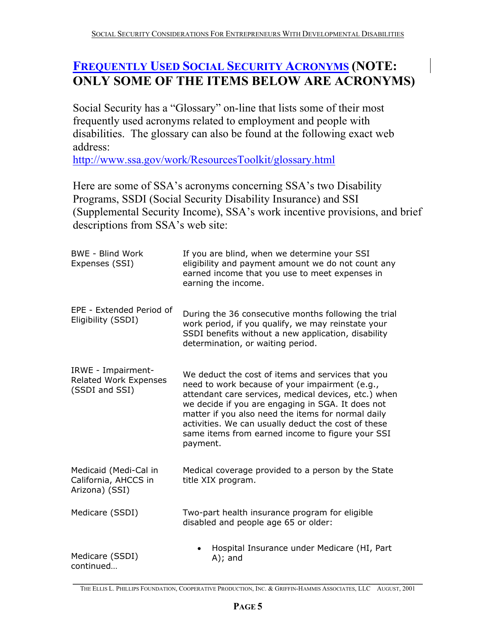# **FREQUENTLY USED SOCIAL SECURITY ACRONYMS (NOTE: ONLY SOME OF THE ITEMS BELOW ARE ACRONYMS)**

Social Security has a "Glossary" on-line that lists some of their most frequently used acronyms related to employment and people with disabilities. The glossary can also be found at the following exact web address:

http://www.ssa.gov/work/ResourcesToolkit/glossary.html

Here are some of SSA's acronyms concerning SSA's two Disability Programs, SSDI (Social Security Disability Insurance) and SSI (Supplemental Security Income), SSA's work incentive provisions, and brief descriptions from SSA's web site:

| <b>BWE - Blind Work</b><br>Expenses (SSI)                            | If you are blind, when we determine your SSI<br>eligibility and payment amount we do not count any<br>earned income that you use to meet expenses in<br>earning the income.                                                                                                                                                                                                                   |
|----------------------------------------------------------------------|-----------------------------------------------------------------------------------------------------------------------------------------------------------------------------------------------------------------------------------------------------------------------------------------------------------------------------------------------------------------------------------------------|
| EPE - Extended Period of<br>Eligibility (SSDI)                       | During the 36 consecutive months following the trial<br>work period, if you qualify, we may reinstate your<br>SSDI benefits without a new application, disability<br>determination, or waiting period.                                                                                                                                                                                        |
| IRWE - Impairment-<br><b>Related Work Expenses</b><br>(SSDI and SSI) | We deduct the cost of items and services that you<br>need to work because of your impairment (e.g.,<br>attendant care services, medical devices, etc.) when<br>we decide if you are engaging in SGA. It does not<br>matter if you also need the items for normal daily<br>activities. We can usually deduct the cost of these<br>same items from earned income to figure your SSI<br>payment. |
| Medicaid (Medi-Cal in<br>California, AHCCS in<br>Arizona) (SSI)      | Medical coverage provided to a person by the State<br>title XIX program.                                                                                                                                                                                                                                                                                                                      |
| Medicare (SSDI)                                                      | Two-part health insurance program for eligible<br>disabled and people age 65 or older:                                                                                                                                                                                                                                                                                                        |
| Medicare (SSDI)<br>continued                                         | Hospital Insurance under Medicare (HI, Part<br>$A)$ ; and                                                                                                                                                                                                                                                                                                                                     |

**\_\_\_\_\_\_\_\_\_\_\_\_\_\_\_\_\_\_\_\_\_\_\_\_\_\_\_\_\_\_\_\_\_\_\_\_\_\_\_\_\_\_\_\_\_\_\_\_\_\_\_\_\_\_\_\_\_\_\_\_\_\_\_\_\_\_\_\_\_\_\_\_**  THE ELLIS L. PHILLIPS FOUNDATION, COOPERATIVE PRODUCTION, INC. & GRIFFIN-HAMMIS ASSOCIATES, LLC AUGUST, 2001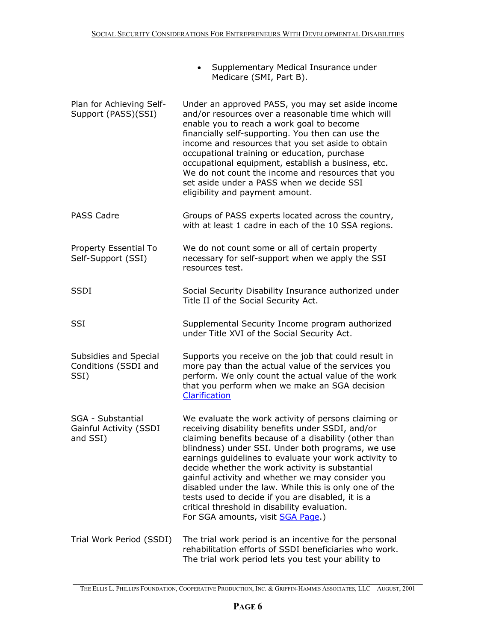- Supplementary Medical Insurance under Medicare (SMI, Part B).
- Plan for Achieving Self-Support (PASS)(SSI) Under an approved PASS, you may set aside income and/or resources over a reasonable time which will enable you to reach a work goal to become financially self-supporting. You then can use the income and resources that you set aside to obtain occupational training or education, purchase occupational equipment, establish a business, etc. We do not count the income and resources that you set aside under a PASS when we decide SSI eligibility and payment amount.
- PASS Cadre Groups of PASS experts located across the country, with at least 1 cadre in each of the 10 SSA regions.
- Property Essential To Self-Support (SSI) We do not count some or all of certain property necessary for self-support when we apply the SSI resources test.
- SSDI Social Security Disability Insurance authorized under Title II of the Social Security Act.
- SSI Supplemental Security Income program authorized under Title XVI of the Social Security Act.

Subsidies and Special Conditions (SSDI and SSI) Supports you receive on the job that could result in more pay than the actual value of the services you perform. We only count the actual value of the work that you perform when we make an SGA decision **Clarification** 

- SGA Substantial Gainful Activity (SSDI and SSI) We evaluate the work activity of persons claiming or receiving disability benefits under SSDI, and/or claiming benefits because of a disability (other than blindness) under SSI. Under both programs, we use earnings guidelines to evaluate your work activity to decide whether the work activity is substantial gainful activity and whether we may consider you disabled under the law. While this is only one of the tests used to decide if you are disabled, it is a critical threshold in disability evaluation. For SGA amounts, visit SGA Page.)
- Trial Work Period (SSDI) The trial work period is an incentive for the personal rehabilitation efforts of SSDI beneficiaries who work. The trial work period lets you test your ability to

**\_\_\_\_\_\_\_\_\_\_\_\_\_\_\_\_\_\_\_\_\_\_\_\_\_\_\_\_\_\_\_\_\_\_\_\_\_\_\_\_\_\_\_\_\_\_\_\_\_\_\_\_\_\_\_\_\_\_\_\_\_\_\_\_\_\_\_\_\_\_\_\_**  THE ELLIS L. PHILLIPS FOUNDATION, COOPERATIVE PRODUCTION, INC. & GRIFFIN-HAMMIS ASSOCIATES, LLC AUGUST, 2001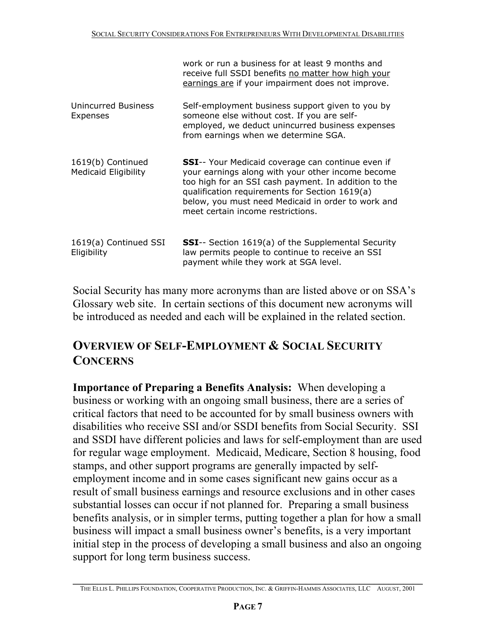|                                                  | work or run a business for at least 9 months and<br>receive full SSDI benefits no matter how high your<br>earnings are if your impairment does not improve.                                                                                                                                                         |
|--------------------------------------------------|---------------------------------------------------------------------------------------------------------------------------------------------------------------------------------------------------------------------------------------------------------------------------------------------------------------------|
| Unincurred Business<br>Expenses                  | Self-employment business support given to you by<br>someone else without cost. If you are self-<br>employed, we deduct unincurred business expenses<br>from earnings when we determine SGA.                                                                                                                         |
| 1619(b) Continued<br><b>Medicaid Eligibility</b> | <b>SSI</b> -- Your Medicaid coverage can continue even if<br>your earnings along with your other income become<br>too high for an SSI cash payment. In addition to the<br>qualification requirements for Section 1619(a)<br>below, you must need Medicaid in order to work and<br>meet certain income restrictions. |
| 1619(a) Continued SSI<br>Eligibility             | <b>SSI</b> -- Section 1619(a) of the Supplemental Security<br>law permits people to continue to receive an SSI<br>payment while they work at SGA level.                                                                                                                                                             |

Social Security has many more acronyms than are listed above or on SSA's Glossary web site. In certain sections of this document new acronyms will be introduced as needed and each will be explained in the related section.

# **OVERVIEW OF SELF-EMPLOYMENT & SOCIAL SECURITY CONCERNS**

**Importance of Preparing a Benefits Analysis:** When developing a business or working with an ongoing small business, there are a series of critical factors that need to be accounted for by small business owners with disabilities who receive SSI and/or SSDI benefits from Social Security. SSI and SSDI have different policies and laws for self-employment than are used for regular wage employment. Medicaid, Medicare, Section 8 housing, food stamps, and other support programs are generally impacted by selfemployment income and in some cases significant new gains occur as a result of small business earnings and resource exclusions and in other cases substantial losses can occur if not planned for. Preparing a small business benefits analysis, or in simpler terms, putting together a plan for how a small business will impact a small business owner's benefits, is a very important initial step in the process of developing a small business and also an ongoing support for long term business success.

**\_\_\_\_\_\_\_\_\_\_\_\_\_\_\_\_\_\_\_\_\_\_\_\_\_\_\_\_\_\_\_\_\_\_\_\_\_\_\_\_\_\_\_\_\_\_\_\_\_\_\_\_\_\_\_\_\_\_\_\_\_\_\_\_\_\_\_\_\_\_\_\_**  THE ELLIS L. PHILLIPS FOUNDATION, COOPERATIVE PRODUCTION, INC. & GRIFFIN-HAMMIS ASSOCIATES, LLC AUGUST, 2001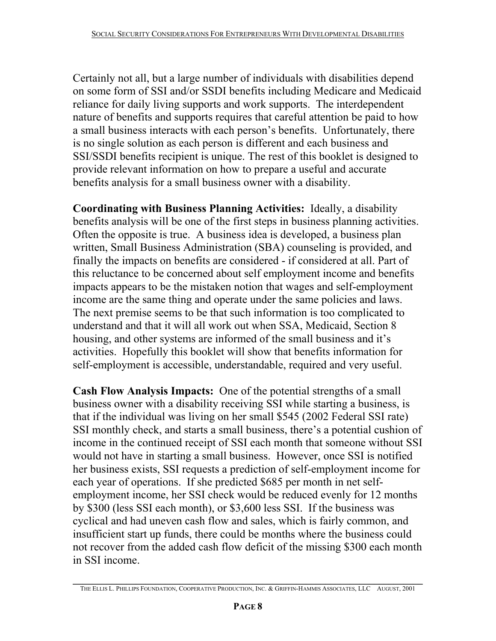Certainly not all, but a large number of individuals with disabilities depend on some form of SSI and/or SSDI benefits including Medicare and Medicaid reliance for daily living supports and work supports. The interdependent nature of benefits and supports requires that careful attention be paid to how a small business interacts with each person's benefits. Unfortunately, there is no single solution as each person is different and each business and SSI/SSDI benefits recipient is unique. The rest of this booklet is designed to provide relevant information on how to prepare a useful and accurate benefits analysis for a small business owner with a disability.

**Coordinating with Business Planning Activities:** Ideally, a disability benefits analysis will be one of the first steps in business planning activities. Often the opposite is true. A business idea is developed, a business plan written, Small Business Administration (SBA) counseling is provided, and finally the impacts on benefits are considered - if considered at all. Part of this reluctance to be concerned about self employment income and benefits impacts appears to be the mistaken notion that wages and self-employment income are the same thing and operate under the same policies and laws. The next premise seems to be that such information is too complicated to understand and that it will all work out when SSA, Medicaid, Section 8 housing, and other systems are informed of the small business and it's activities. Hopefully this booklet will show that benefits information for self-employment is accessible, understandable, required and very useful.

**Cash Flow Analysis Impacts:** One of the potential strengths of a small business owner with a disability receiving SSI while starting a business, is that if the individual was living on her small \$545 (2002 Federal SSI rate) SSI monthly check, and starts a small business, there's a potential cushion of income in the continued receipt of SSI each month that someone without SSI would not have in starting a small business. However, once SSI is notified her business exists, SSI requests a prediction of self-employment income for each year of operations. If she predicted \$685 per month in net selfemployment income, her SSI check would be reduced evenly for 12 months by \$300 (less SSI each month), or \$3,600 less SSI. If the business was cyclical and had uneven cash flow and sales, which is fairly common, and insufficient start up funds, there could be months where the business could not recover from the added cash flow deficit of the missing \$300 each month in SSI income.

**\_\_\_\_\_\_\_\_\_\_\_\_\_\_\_\_\_\_\_\_\_\_\_\_\_\_\_\_\_\_\_\_\_\_\_\_\_\_\_\_\_\_\_\_\_\_\_\_\_\_\_\_\_\_\_\_\_\_\_\_\_\_\_\_\_\_\_\_\_\_\_\_**  THE ELLIS L. PHILLIPS FOUNDATION, COOPERATIVE PRODUCTION, INC. & GRIFFIN-HAMMIS ASSOCIATES, LLC AUGUST, 2001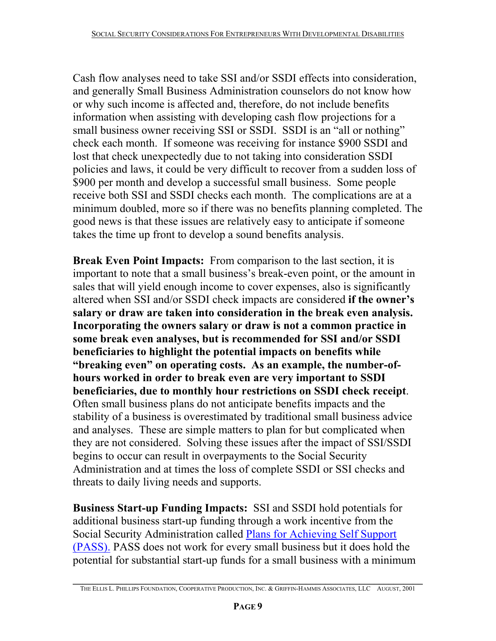Cash flow analyses need to take SSI and/or SSDI effects into consideration, and generally Small Business Administration counselors do not know how or why such income is affected and, therefore, do not include benefits information when assisting with developing cash flow projections for a small business owner receiving SSI or SSDI. SSDI is an "all or nothing" check each month. If someone was receiving for instance \$900 SSDI and lost that check unexpectedly due to not taking into consideration SSDI policies and laws, it could be very difficult to recover from a sudden loss of \$900 per month and develop a successful small business. Some people receive both SSI and SSDI checks each month. The complications are at a minimum doubled, more so if there was no benefits planning completed. The good news is that these issues are relatively easy to anticipate if someone takes the time up front to develop a sound benefits analysis.

**Break Even Point Impacts:** From comparison to the last section, it is important to note that a small business's break-even point, or the amount in sales that will yield enough income to cover expenses, also is significantly altered when SSI and/or SSDI check impacts are considered **if the owner's salary or draw are taken into consideration in the break even analysis. Incorporating the owners salary or draw is not a common practice in some break even analyses, but is recommended for SSI and/or SSDI beneficiaries to highlight the potential impacts on benefits while "breaking even" on operating costs. As an example, the number-ofhours worked in order to break even are very important to SSDI beneficiaries, due to monthly hour restrictions on SSDI check receipt**. Often small business plans do not anticipate benefits impacts and the stability of a business is overestimated by traditional small business advice and analyses. These are simple matters to plan for but complicated when they are not considered. Solving these issues after the impact of SSI/SSDI begins to occur can result in overpayments to the Social Security Administration and at times the loss of complete SSDI or SSI checks and threats to daily living needs and supports.

**Business Start-up Funding Impacts:** SSI and SSDI hold potentials for additional business start-up funding through a work incentive from the Social Security Administration called Plans for Achieving Self Support (PASS). PASS does not work for every small business but it does hold the potential for substantial start-up funds for a small business with a minimum

**\_\_\_\_\_\_\_\_\_\_\_\_\_\_\_\_\_\_\_\_\_\_\_\_\_\_\_\_\_\_\_\_\_\_\_\_\_\_\_\_\_\_\_\_\_\_\_\_\_\_\_\_\_\_\_\_\_\_\_\_\_\_\_\_\_\_\_\_\_\_\_\_**  THE ELLIS L. PHILLIPS FOUNDATION, COOPERATIVE PRODUCTION, INC. & GRIFFIN-HAMMIS ASSOCIATES, LLC AUGUST, 2001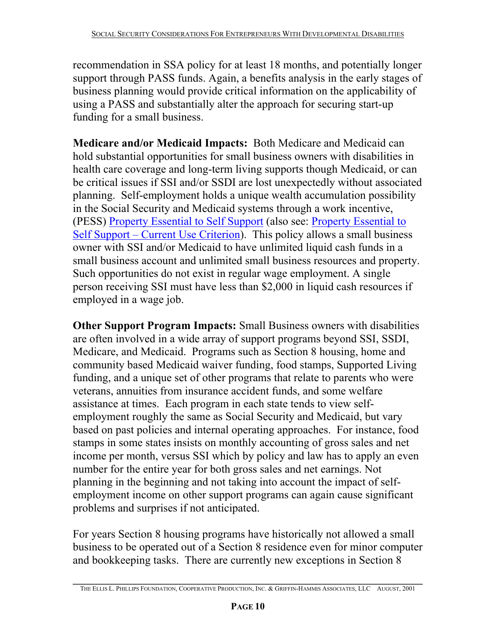recommendation in SSA policy for at least 18 months, and potentially longer support through PASS funds. Again, a benefits analysis in the early stages of business planning would provide critical information on the applicability of using a PASS and substantially alter the approach for securing start-up funding for a small business.

**Medicare and/or Medicaid Impacts:** Both Medicare and Medicaid can hold substantial opportunities for small business owners with disabilities in health care coverage and long-term living supports though Medicaid, or can be critical issues if SSI and/or SSDI are lost unexpectedly without associated planning. Self-employment holds a unique wealth accumulation possibility in the Social Security and Medicaid systems through a work incentive, (PESS) Property Essential to Self Support (also see: Property Essential to Self Support – Current Use Criterion). This policy allows a small business owner with SSI and/or Medicaid to have unlimited liquid cash funds in a small business account and unlimited small business resources and property. Such opportunities do not exist in regular wage employment. A single person receiving SSI must have less than \$2,000 in liquid cash resources if employed in a wage job.

**Other Support Program Impacts:** Small Business owners with disabilities are often involved in a wide array of support programs beyond SSI, SSDI, Medicare, and Medicaid. Programs such as Section 8 housing, home and community based Medicaid waiver funding, food stamps, Supported Living funding, and a unique set of other programs that relate to parents who were veterans, annuities from insurance accident funds, and some welfare assistance at times. Each program in each state tends to view selfemployment roughly the same as Social Security and Medicaid, but vary based on past policies and internal operating approaches. For instance, food stamps in some states insists on monthly accounting of gross sales and net income per month, versus SSI which by policy and law has to apply an even number for the entire year for both gross sales and net earnings. Not planning in the beginning and not taking into account the impact of selfemployment income on other support programs can again cause significant problems and surprises if not anticipated.

For years Section 8 housing programs have historically not allowed a small business to be operated out of a Section 8 residence even for minor computer and bookkeeping tasks. There are currently new exceptions in Section 8

**\_\_\_\_\_\_\_\_\_\_\_\_\_\_\_\_\_\_\_\_\_\_\_\_\_\_\_\_\_\_\_\_\_\_\_\_\_\_\_\_\_\_\_\_\_\_\_\_\_\_\_\_\_\_\_\_\_\_\_\_\_\_\_\_\_\_\_\_\_\_\_\_**  THE ELLIS L. PHILLIPS FOUNDATION, COOPERATIVE PRODUCTION, INC. & GRIFFIN-HAMMIS ASSOCIATES, LLC AUGUST, 2001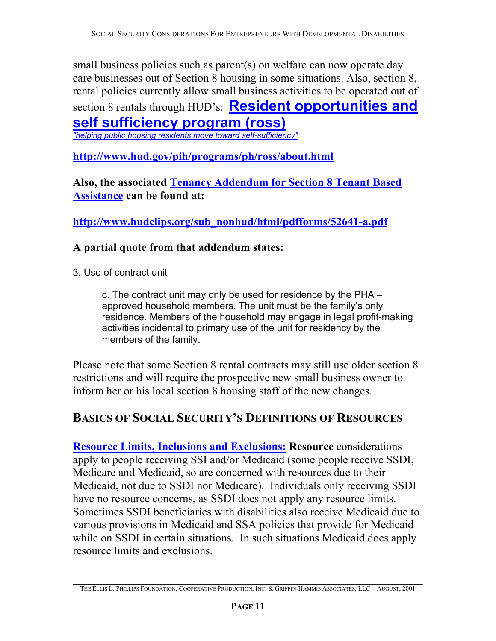small business policies such as parent(s) on welfare can now operate day care businesses out of Section 8 housing in some situations. Also, section 8, rental policies currently allow small business activities to be operated out of section 8 rentals through HUD's: **Resident opportunities and self sufficiency program (ross)**

*"helping public housing residents move toward self-sufficiency"* 

**http://www.hud.gov/pih/programs/ph/ross/about.html** 

**Also, the associated Tenancy Addendum for Section 8 Tenant Based Assistance can be found at:** 

**http://www.hudclips.org/sub\_nonhud/html/pdfforms/52641-a.pdf** 

#### **A partial quote from that addendum states:**

3. Use of contract unit

c. The contract unit may only be used for residence by the PHA – approved household members. The unit must be the family's only residence. Members of the household may engage in legal profit-making activities incidental to primary use of the unit for residency by the members of the family.

Please note that some Section 8 rental contracts may still use older section 8 restrictions and will require the prospective new small business owner to inform her or his local section 8 housing staff of the new changes.

# **BASICS OF SOCIAL SECURITY'S DEFINITIONS OF RESOURCES**

**Resource Limits, Inclusions and Exclusions: Resource** considerations apply to people receiving SSI and/or Medicaid (some people receive SSDI, Medicare and Medicaid, so are concerned with resources due to their Medicaid, not due to SSDI nor Medicare). Individuals only receiving SSDI have no resource concerns, as SSDI does not apply any resource limits. Sometimes SSDI beneficiaries with disabilities also receive Medicaid due to various provisions in Medicaid and SSA policies that provide for Medicaid while on SSDI in certain situations. In such situations Medicaid does apply resource limits and exclusions.

**\_\_\_\_\_\_\_\_\_\_\_\_\_\_\_\_\_\_\_\_\_\_\_\_\_\_\_\_\_\_\_\_\_\_\_\_\_\_\_\_\_\_\_\_\_\_\_\_\_\_\_\_\_\_\_\_\_\_\_\_\_\_\_\_\_\_\_\_\_\_\_\_**  THE ELLIS L. PHILLIPS FOUNDATION, COOPERATIVE PRODUCTION, INC. & GRIFFIN-HAMMIS ASSOCIATES, LLC AUGUST, 2001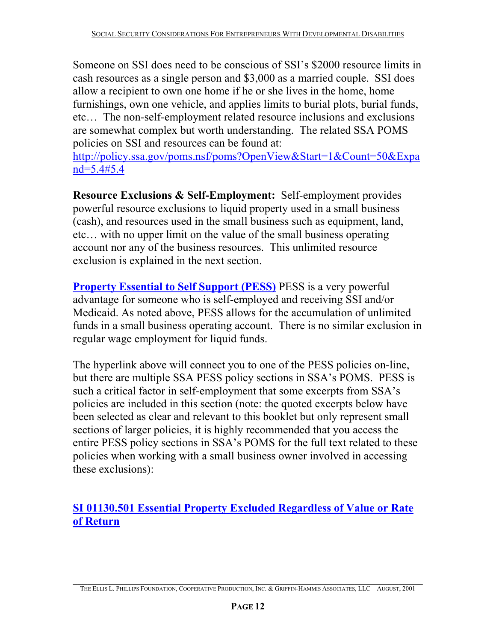Someone on SSI does need to be conscious of SSI's \$2000 resource limits in cash resources as a single person and \$3,000 as a married couple. SSI does allow a recipient to own one home if he or she lives in the home, home furnishings, own one vehicle, and applies limits to burial plots, burial funds, etc… The non-self-employment related resource inclusions and exclusions are somewhat complex but worth understanding. The related SSA POMS policies on SSI and resources can be found at:

http://policy.ssa.gov/poms.nsf/poms?OpenView&Start=1&Count=50&Expa nd=5.4#5.4

**Resource Exclusions & Self-Employment:** Self-employment provides powerful resource exclusions to liquid property used in a small business (cash), and resources used in the small business such as equipment, land, etc… with no upper limit on the value of the small business operating account nor any of the business resources. This unlimited resource exclusion is explained in the next section.

**Property Essential to Self Support (PESS)** PESS is a very powerful advantage for someone who is self-employed and receiving SSI and/or Medicaid. As noted above, PESS allows for the accumulation of unlimited funds in a small business operating account. There is no similar exclusion in regular wage employment for liquid funds.

The hyperlink above will connect you to one of the PESS policies on-line, but there are multiple SSA PESS policy sections in SSA's POMS. PESS is such a critical factor in self-employment that some excerpts from SSA's policies are included in this section (note: the quoted excerpts below have been selected as clear and relevant to this booklet but only represent small sections of larger policies, it is highly recommended that you access the entire PESS policy sections in SSA's POMS for the full text related to these policies when working with a small business owner involved in accessing these exclusions):

**SI 01130.501 Essential Property Excluded Regardless of Value or Rate of Return**

**\_\_\_\_\_\_\_\_\_\_\_\_\_\_\_\_\_\_\_\_\_\_\_\_\_\_\_\_\_\_\_\_\_\_\_\_\_\_\_\_\_\_\_\_\_\_\_\_\_\_\_\_\_\_\_\_\_\_\_\_\_\_\_\_\_\_\_\_\_\_\_\_**  THE ELLIS L. PHILLIPS FOUNDATION, COOPERATIVE PRODUCTION, INC. & GRIFFIN-HAMMIS ASSOCIATES, LLC AUGUST, 2001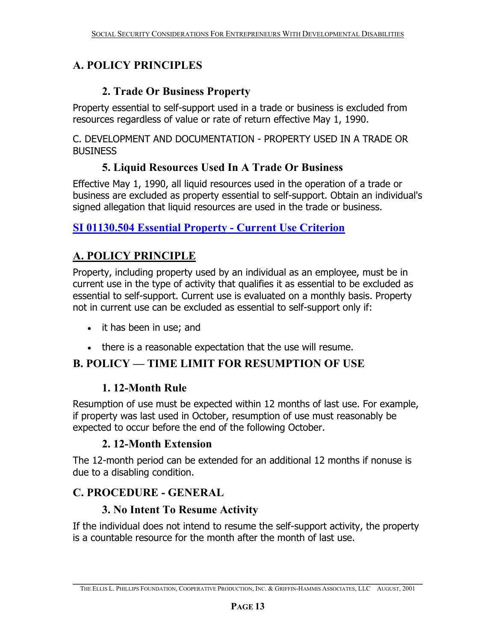# **A. POLICY PRINCIPLES**

#### **2. Trade Or Business Property**

Property essential to self-support used in a trade or business is excluded from resources regardless of value or rate of return effective May 1, 1990.

C. DEVELOPMENT AND DOCUMENTATION - PROPERTY USED IN A TRADE OR BUSINESS

# **5. Liquid Resources Used In A Trade Or Business**

Effective May 1, 1990, all liquid resources used in the operation of a trade or business are excluded as property essential to self-support. Obtain an individual's signed allegation that liquid resources are used in the trade or business.

**SI 01130.504 Essential Property - Current Use Criterion**

# **A. POLICY PRINCIPLE**

Property, including property used by an individual as an employee, must be in current use in the type of activity that qualifies it as essential to be excluded as essential to self-support. Current use is evaluated on a monthly basis. Property not in current use can be excluded as essential to self-support only if:

- it has been in use; and
- there is a reasonable expectation that the use will resume.

# **B. POLICY — TIME LIMIT FOR RESUMPTION OF USE**

#### **1. 12-Month Rule**

Resumption of use must be expected within 12 months of last use. For example, if property was last used in October, resumption of use must reasonably be expected to occur before the end of the following October.

#### **2. 12-Month Extension**

The 12-month period can be extended for an additional 12 months if nonuse is due to a disabling condition.

# **C. PROCEDURE - GENERAL**

#### **3. No Intent To Resume Activity**

If the individual does not intend to resume the self-support activity, the property is a countable resource for the month after the month of last use.

**\_\_\_\_\_\_\_\_\_\_\_\_\_\_\_\_\_\_\_\_\_\_\_\_\_\_\_\_\_\_\_\_\_\_\_\_\_\_\_\_\_\_\_\_\_\_\_\_\_\_\_\_\_\_\_\_\_\_\_\_\_\_\_\_\_\_\_\_\_\_\_\_**  THE ELLIS L. PHILLIPS FOUNDATION, COOPERATIVE PRODUCTION, INC. & GRIFFIN-HAMMIS ASSOCIATES, LLC AUGUST, 2001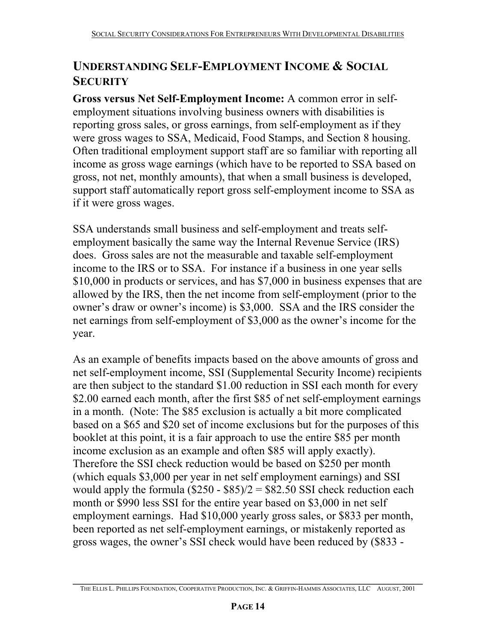# **UNDERSTANDING SELF-EMPLOYMENT INCOME & SOCIAL SECURITY**

**Gross versus Net Self-Employment Income:** A common error in selfemployment situations involving business owners with disabilities is reporting gross sales, or gross earnings, from self-employment as if they were gross wages to SSA, Medicaid, Food Stamps, and Section 8 housing. Often traditional employment support staff are so familiar with reporting all income as gross wage earnings (which have to be reported to SSA based on gross, not net, monthly amounts), that when a small business is developed, support staff automatically report gross self-employment income to SSA as if it were gross wages.

SSA understands small business and self-employment and treats selfemployment basically the same way the Internal Revenue Service (IRS) does. Gross sales are not the measurable and taxable self-employment income to the IRS or to SSA. For instance if a business in one year sells \$10,000 in products or services, and has \$7,000 in business expenses that are allowed by the IRS, then the net income from self-employment (prior to the owner's draw or owner's income) is \$3,000. SSA and the IRS consider the net earnings from self-employment of \$3,000 as the owner's income for the year.

As an example of benefits impacts based on the above amounts of gross and net self-employment income, SSI (Supplemental Security Income) recipients are then subject to the standard \$1.00 reduction in SSI each month for every \$2.00 earned each month, after the first \$85 of net self-employment earnings in a month. (Note: The \$85 exclusion is actually a bit more complicated based on a \$65 and \$20 set of income exclusions but for the purposes of this booklet at this point, it is a fair approach to use the entire \$85 per month income exclusion as an example and often \$85 will apply exactly). Therefore the SSI check reduction would be based on \$250 per month (which equals \$3,000 per year in net self employment earnings) and SSI would apply the formula  $(\$250 - \$85)/2 = \$82.50$  SSI check reduction each month or \$990 less SSI for the entire year based on \$3,000 in net self employment earnings. Had \$10,000 yearly gross sales, or \$833 per month, been reported as net self-employment earnings, or mistakenly reported as gross wages, the owner's SSI check would have been reduced by (\$833 -

**\_\_\_\_\_\_\_\_\_\_\_\_\_\_\_\_\_\_\_\_\_\_\_\_\_\_\_\_\_\_\_\_\_\_\_\_\_\_\_\_\_\_\_\_\_\_\_\_\_\_\_\_\_\_\_\_\_\_\_\_\_\_\_\_\_\_\_\_\_\_\_\_**  THE ELLIS L. PHILLIPS FOUNDATION, COOPERATIVE PRODUCTION, INC. & GRIFFIN-HAMMIS ASSOCIATES, LLC AUGUST, 2001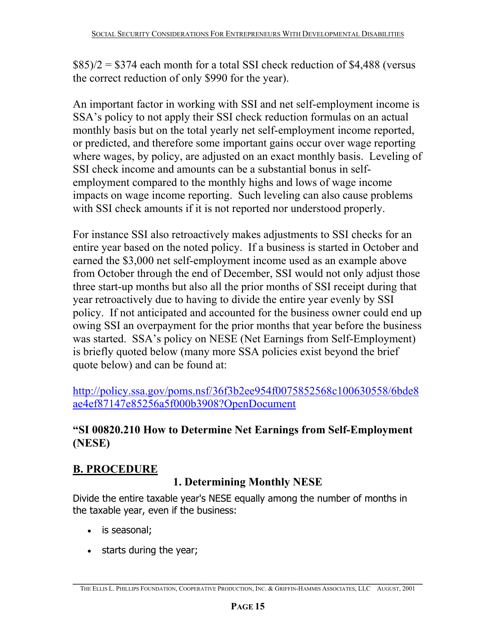$$85$ /2 = \$374 each month for a total SSI check reduction of \$4,488 (versus the correct reduction of only \$990 for the year).

An important factor in working with SSI and net self-employment income is SSA's policy to not apply their SSI check reduction formulas on an actual monthly basis but on the total yearly net self-employment income reported, or predicted, and therefore some important gains occur over wage reporting where wages, by policy, are adjusted on an exact monthly basis. Leveling of SSI check income and amounts can be a substantial bonus in selfemployment compared to the monthly highs and lows of wage income impacts on wage income reporting. Such leveling can also cause problems with SSI check amounts if it is not reported nor understood properly.

For instance SSI also retroactively makes adjustments to SSI checks for an entire year based on the noted policy. If a business is started in October and earned the \$3,000 net self-employment income used as an example above from October through the end of December, SSI would not only adjust those three start-up months but also all the prior months of SSI receipt during that year retroactively due to having to divide the entire year evenly by SSI policy. If not anticipated and accounted for the business owner could end up owing SSI an overpayment for the prior months that year before the business was started. SSA's policy on NESE (Net Earnings from Self-Employment) is briefly quoted below (many more SSA policies exist beyond the brief quote below) and can be found at:

http://policy.ssa.gov/poms.nsf/36f3b2ee954f0075852568c100630558/6bde8 ae4ef87147e85256a5f000b3908?OpenDocument

#### **"SI 00820.210 How to Determine Net Earnings from Self-Employment (NESE)**

# **B. PROCEDURE**

# **1. Determining Monthly NESE**

Divide the entire taxable year's NESE equally among the number of months in the taxable year, even if the business:

- is seasonal;
- starts during the year;

**\_\_\_\_\_\_\_\_\_\_\_\_\_\_\_\_\_\_\_\_\_\_\_\_\_\_\_\_\_\_\_\_\_\_\_\_\_\_\_\_\_\_\_\_\_\_\_\_\_\_\_\_\_\_\_\_\_\_\_\_\_\_\_\_\_\_\_\_\_\_\_\_**  THE ELLIS L. PHILLIPS FOUNDATION, COOPERATIVE PRODUCTION, INC. & GRIFFIN-HAMMIS ASSOCIATES, LLC AUGUST, 2001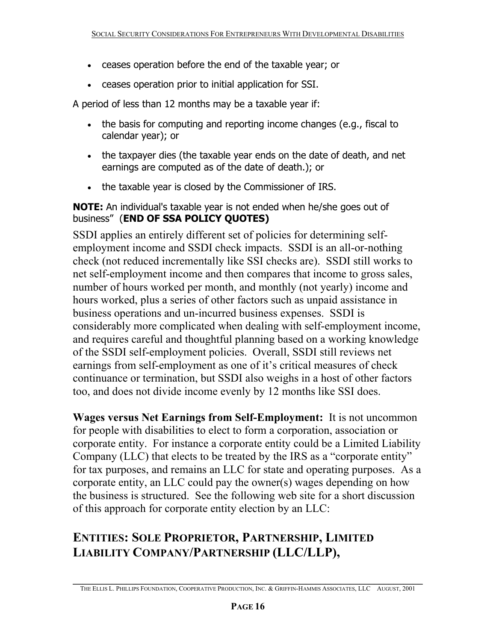- ceases operation before the end of the taxable year; or
- ceases operation prior to initial application for SSI.

A period of less than 12 months may be a taxable year if:

- the basis for computing and reporting income changes (e.g., fiscal to calendar year); or
- the taxpayer dies (the taxable year ends on the date of death, and net earnings are computed as of the date of death.); or
- the taxable year is closed by the Commissioner of IRS.

**NOTE:** An individual's taxable year is not ended when he/she goes out of business" (**END OF SSA POLICY QUOTES)** 

SSDI applies an entirely different set of policies for determining selfemployment income and SSDI check impacts. SSDI is an all-or-nothing check (not reduced incrementally like SSI checks are). SSDI still works to net self-employment income and then compares that income to gross sales, number of hours worked per month, and monthly (not yearly) income and hours worked, plus a series of other factors such as unpaid assistance in business operations and un-incurred business expenses. SSDI is considerably more complicated when dealing with self-employment income, and requires careful and thoughtful planning based on a working knowledge of the SSDI self-employment policies. Overall, SSDI still reviews net earnings from self-employment as one of it's critical measures of check continuance or termination, but SSDI also weighs in a host of other factors too, and does not divide income evenly by 12 months like SSI does.

**Wages versus Net Earnings from Self-Employment:** It is not uncommon for people with disabilities to elect to form a corporation, association or corporate entity. For instance a corporate entity could be a Limited Liability Company (LLC) that elects to be treated by the IRS as a "corporate entity" for tax purposes, and remains an LLC for state and operating purposes. As a corporate entity, an LLC could pay the owner(s) wages depending on how the business is structured. See the following web site for a short discussion of this approach for corporate entity election by an LLC:

# **ENTITIES: SOLE PROPRIETOR, PARTNERSHIP, LIMITED LIABILITY COMPANY/PARTNERSHIP (LLC/LLP),**

**\_\_\_\_\_\_\_\_\_\_\_\_\_\_\_\_\_\_\_\_\_\_\_\_\_\_\_\_\_\_\_\_\_\_\_\_\_\_\_\_\_\_\_\_\_\_\_\_\_\_\_\_\_\_\_\_\_\_\_\_\_\_\_\_\_\_\_\_\_\_\_\_**  THE ELLIS L. PHILLIPS FOUNDATION, COOPERATIVE PRODUCTION, INC. & GRIFFIN-HAMMIS ASSOCIATES, LLC AUGUST, 2001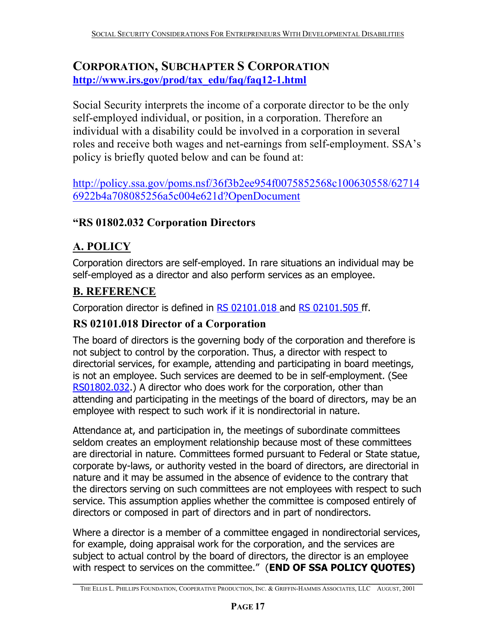# **CORPORATION, SUBCHAPTER S CORPORATION http://www.irs.gov/prod/tax\_edu/faq/faq12-1.html**

Social Security interprets the income of a corporate director to be the only self-employed individual, or position, in a corporation. Therefore an individual with a disability could be involved in a corporation in several roles and receive both wages and net-earnings from self-employment. SSA's policy is briefly quoted below and can be found at:

http://policy.ssa.gov/poms.nsf/36f3b2ee954f0075852568c100630558/62714 6922b4a708085256a5c004e621d?OpenDocument

#### **"RS 01802.032 Corporation Directors**

# **A. POLICY**

Corporation directors are self-employed. In rare situations an individual may be self-employed as a director and also perform services as an employee.

#### **B. REFERENCE**

Corporation director is defined in RS 02101.018 and RS 02101.505 ff.

#### **RS 02101.018 Director of a Corporation**

The board of directors is the governing body of the corporation and therefore is not subject to control by the corporation. Thus, a director with respect to directorial services, for example, attending and participating in board meetings, is not an employee. Such services are deemed to be in self-employment. (See RS01802.032.) A director who does work for the corporation, other than attending and participating in the meetings of the board of directors, may be an employee with respect to such work if it is nondirectorial in nature.

Attendance at, and participation in, the meetings of subordinate committees seldom creates an employment relationship because most of these committees are directorial in nature. Committees formed pursuant to Federal or State statue, corporate by-laws, or authority vested in the board of directors, are directorial in nature and it may be assumed in the absence of evidence to the contrary that the directors serving on such committees are not employees with respect to such service. This assumption applies whether the committee is composed entirely of directors or composed in part of directors and in part of nondirectors.

Where a director is a member of a committee engaged in nondirectorial services, for example, doing appraisal work for the corporation, and the services are subject to actual control by the board of directors, the director is an employee with respect to services on the committee." (**END OF SSA POLICY QUOTES)** 

**\_\_\_\_\_\_\_\_\_\_\_\_\_\_\_\_\_\_\_\_\_\_\_\_\_\_\_\_\_\_\_\_\_\_\_\_\_\_\_\_\_\_\_\_\_\_\_\_\_\_\_\_\_\_\_\_\_\_\_\_\_\_\_\_\_\_\_\_\_\_\_\_**  THE ELLIS L. PHILLIPS FOUNDATION, COOPERATIVE PRODUCTION, INC. & GRIFFIN-HAMMIS ASSOCIATES, LLC AUGUST, 2001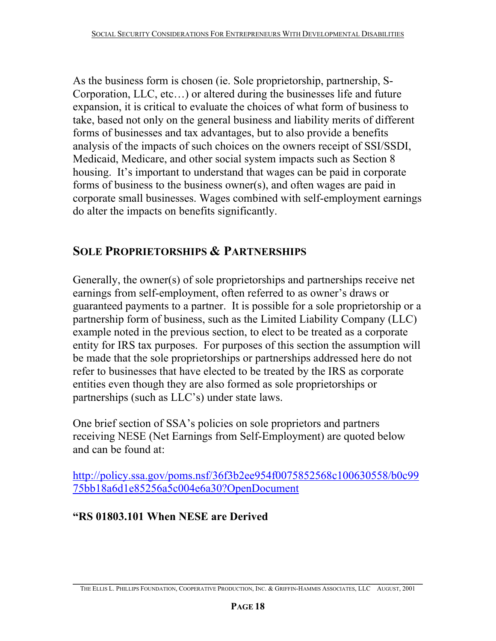As the business form is chosen (ie. Sole proprietorship, partnership, S-Corporation, LLC, etc…) or altered during the businesses life and future expansion, it is critical to evaluate the choices of what form of business to take, based not only on the general business and liability merits of different forms of businesses and tax advantages, but to also provide a benefits analysis of the impacts of such choices on the owners receipt of SSI/SSDI, Medicaid, Medicare, and other social system impacts such as Section 8 housing. It's important to understand that wages can be paid in corporate forms of business to the business owner(s), and often wages are paid in corporate small businesses. Wages combined with self-employment earnings do alter the impacts on benefits significantly.

# **SOLE PROPRIETORSHIPS & PARTNERSHIPS**

Generally, the owner(s) of sole proprietorships and partnerships receive net earnings from self-employment, often referred to as owner's draws or guaranteed payments to a partner. It is possible for a sole proprietorship or a partnership form of business, such as the Limited Liability Company (LLC) example noted in the previous section, to elect to be treated as a corporate entity for IRS tax purposes. For purposes of this section the assumption will be made that the sole proprietorships or partnerships addressed here do not refer to businesses that have elected to be treated by the IRS as corporate entities even though they are also formed as sole proprietorships or partnerships (such as LLC's) under state laws.

One brief section of SSA's policies on sole proprietors and partners receiving NESE (Net Earnings from Self-Employment) are quoted below and can be found at:

http://policy.ssa.gov/poms.nsf/36f3b2ee954f0075852568c100630558/b0c99 75bb18a6d1e85256a5c004e6a30?OpenDocument

# **"RS 01803.101 When NESE are Derived**

**\_\_\_\_\_\_\_\_\_\_\_\_\_\_\_\_\_\_\_\_\_\_\_\_\_\_\_\_\_\_\_\_\_\_\_\_\_\_\_\_\_\_\_\_\_\_\_\_\_\_\_\_\_\_\_\_\_\_\_\_\_\_\_\_\_\_\_\_\_\_\_\_**  THE ELLIS L. PHILLIPS FOUNDATION, COOPERATIVE PRODUCTION, INC. & GRIFFIN-HAMMIS ASSOCIATES, LLC AUGUST, 2001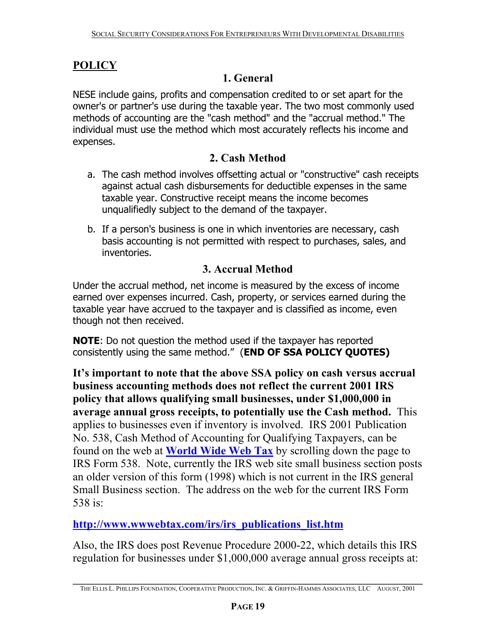# **POLICY**

#### **1. General**

NESE include gains, profits and compensation credited to or set apart for the owner's or partner's use during the taxable year. The two most commonly used methods of accounting are the "cash method" and the "accrual method." The individual must use the method which most accurately reflects his income and expenses.

#### **2. Cash Method**

- a. The cash method involves offsetting actual or "constructive" cash receipts against actual cash disbursements for deductible expenses in the same taxable year. Constructive receipt means the income becomes unqualifiedly subject to the demand of the taxpayer.
- b. If a person's business is one in which inventories are necessary, cash basis accounting is not permitted with respect to purchases, sales, and inventories.

#### **3. Accrual Method**

Under the accrual method, net income is measured by the excess of income earned over expenses incurred. Cash, property, or services earned during the taxable year have accrued to the taxpayer and is classified as income, even though not then received.

**NOTE**: Do not question the method used if the taxpayer has reported consistently using the same method." (**END OF SSA POLICY QUOTES)** 

**It's important to note that the above SSA policy on cash versus accrual business accounting methods does not reflect the current 2001 IRS policy that allows qualifying small businesses, under \$1,000,000 in average annual gross receipts, to potentially use the Cash method.** This applies to businesses even if inventory is involved. IRS 2001 Publication No. 538, Cash Method of Accounting for Qualifying Taxpayers, can be found on the web at **World Wide Web Tax** by scrolling down the page to IRS Form 538. Note, currently the IRS web site small business section posts an older version of this form (1998) which is not current in the IRS general Small Business section. The address on the web for the current IRS Form 538 is:

**http://www.wwwebtax.com/irs/irs\_publications\_list.htm** 

Also, the IRS does post Revenue Procedure 2000-22, which details this IRS regulation for businesses under \$1,000,000 average annual gross receipts at:

**\_\_\_\_\_\_\_\_\_\_\_\_\_\_\_\_\_\_\_\_\_\_\_\_\_\_\_\_\_\_\_\_\_\_\_\_\_\_\_\_\_\_\_\_\_\_\_\_\_\_\_\_\_\_\_\_\_\_\_\_\_\_\_\_\_\_\_\_\_\_\_\_**  THE ELLIS L. PHILLIPS FOUNDATION, COOPERATIVE PRODUCTION, INC. & GRIFFIN-HAMMIS ASSOCIATES, LLC AUGUST, 2001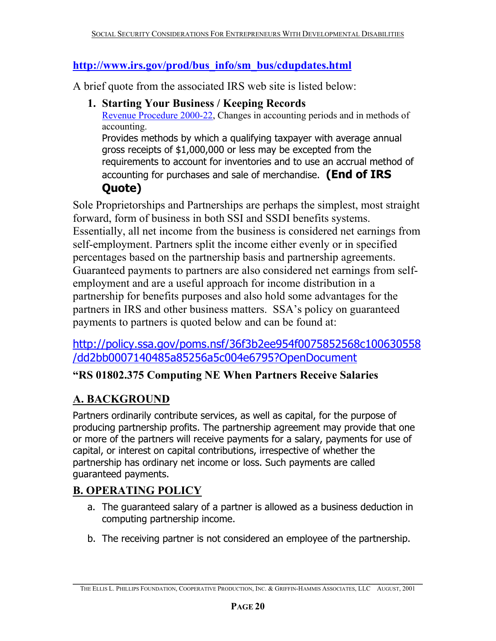#### **http://www.irs.gov/prod/bus\_info/sm\_bus/cdupdates.html**

A brief quote from the associated IRS web site is listed below:

#### **1. Starting Your Business / Keeping Records**

Revenue Procedure 2000-22, Changes in accounting periods and in methods of accounting.

Provides methods by which a qualifying taxpayer with average annual gross receipts of \$1,000,000 or less may be excepted from the requirements to account for inventories and to use an accrual method of accounting for purchases and sale of merchandise. **(End of IRS Quote)**

Sole Proprietorships and Partnerships are perhaps the simplest, most straight forward, form of business in both SSI and SSDI benefits systems. Essentially, all net income from the business is considered net earnings from self-employment. Partners split the income either evenly or in specified percentages based on the partnership basis and partnership agreements. Guaranteed payments to partners are also considered net earnings from selfemployment and are a useful approach for income distribution in a partnership for benefits purposes and also hold some advantages for the partners in IRS and other business matters. SSA's policy on guaranteed payments to partners is quoted below and can be found at:

#### http://policy.ssa.gov/poms.nsf/36f3b2ee954f0075852568c100630558 /dd2bb0007140485a85256a5c004e6795?OpenDocument

#### **"RS 01802.375 Computing NE When Partners Receive Salaries**

# **A. BACKGROUND**

Partners ordinarily contribute services, as well as capital, for the purpose of producing partnership profits. The partnership agreement may provide that one or more of the partners will receive payments for a salary, payments for use of capital, or interest on capital contributions, irrespective of whether the partnership has ordinary net income or loss. Such payments are called guaranteed payments.

# **B. OPERATING POLICY**

- a. The guaranteed salary of a partner is allowed as a business deduction in computing partnership income.
- b. The receiving partner is not considered an employee of the partnership.

**\_\_\_\_\_\_\_\_\_\_\_\_\_\_\_\_\_\_\_\_\_\_\_\_\_\_\_\_\_\_\_\_\_\_\_\_\_\_\_\_\_\_\_\_\_\_\_\_\_\_\_\_\_\_\_\_\_\_\_\_\_\_\_\_\_\_\_\_\_\_\_\_**  THE ELLIS L. PHILLIPS FOUNDATION, COOPERATIVE PRODUCTION, INC. & GRIFFIN-HAMMIS ASSOCIATES, LLC AUGUST, 2001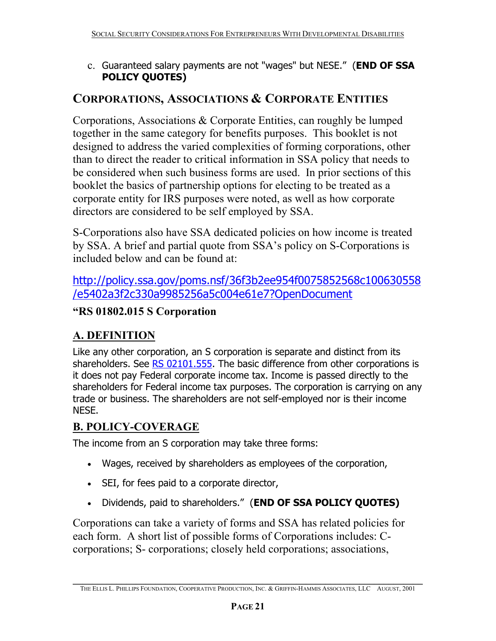c. Guaranteed salary payments are not "wages" but NESE." (**END OF SSA POLICY QUOTES)**

# **CORPORATIONS, ASSOCIATIONS & CORPORATE ENTITIES**

Corporations, Associations & Corporate Entities, can roughly be lumped together in the same category for benefits purposes. This booklet is not designed to address the varied complexities of forming corporations, other than to direct the reader to critical information in SSA policy that needs to be considered when such business forms are used. In prior sections of this booklet the basics of partnership options for electing to be treated as a corporate entity for IRS purposes were noted, as well as how corporate directors are considered to be self employed by SSA.

S-Corporations also have SSA dedicated policies on how income is treated by SSA. A brief and partial quote from SSA's policy on S-Corporations is included below and can be found at:

# http://policy.ssa.gov/poms.nsf/36f3b2ee954f0075852568c100630558 /e5402a3f2c330a9985256a5c004e61e7?OpenDocument

#### **"RS 01802.015 S Corporation**

# **A. DEFINITION**

Like any other corporation, an S corporation is separate and distinct from its shareholders. See  $RS$  02101.555. The basic difference from other corporations is it does not pay Federal corporate income tax. Income is passed directly to the shareholders for Federal income tax purposes. The corporation is carrying on any trade or business. The shareholders are not self-employed nor is their income NESE.

# **B. POLICY-COVERAGE**

The income from an S corporation may take three forms:

- Wages, received by shareholders as employees of the corporation,
- SEI, for fees paid to a corporate director,
- Dividends, paid to shareholders." (**END OF SSA POLICY QUOTES)**

Corporations can take a variety of forms and SSA has related policies for each form. A short list of possible forms of Corporations includes: Ccorporations; S- corporations; closely held corporations; associations,

**\_\_\_\_\_\_\_\_\_\_\_\_\_\_\_\_\_\_\_\_\_\_\_\_\_\_\_\_\_\_\_\_\_\_\_\_\_\_\_\_\_\_\_\_\_\_\_\_\_\_\_\_\_\_\_\_\_\_\_\_\_\_\_\_\_\_\_\_\_\_\_\_**  THE ELLIS L. PHILLIPS FOUNDATION, COOPERATIVE PRODUCTION, INC. & GRIFFIN-HAMMIS ASSOCIATES, LLC AUGUST, 2001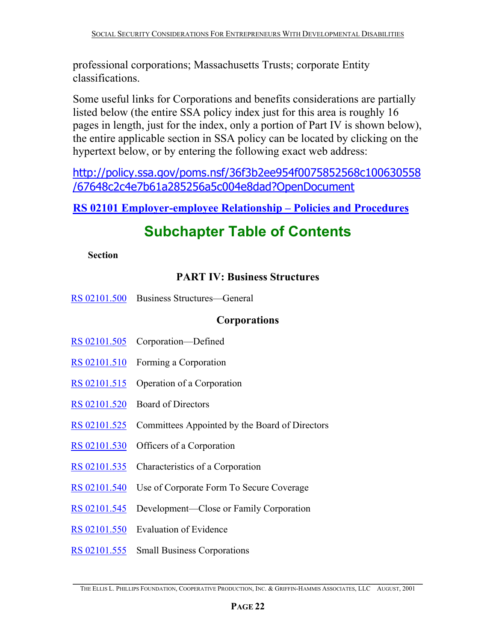professional corporations; Massachusetts Trusts; corporate Entity classifications.

Some useful links for Corporations and benefits considerations are partially listed below (the entire SSA policy index just for this area is roughly 16 pages in length, just for the index, only a portion of Part IV is shown below), the entire applicable section in SSA policy can be located by clicking on the hypertext below, or by entering the following exact web address:

http://policy.ssa.gov/poms.nsf/36f3b2ee954f0075852568c100630558 /67648c2c4e7b61a285256a5c004e8dad?OpenDocument

**RS 02101 Employer-employee Relationship – Policies and Procedures**

# **Subchapter Table of Contents**

#### **Section**

#### **PART IV: Business Structures**

RS 02101.500 Business Structures—General

#### **Corporations**

- RS 02101.505 Corporation—Defined
- RS 02101.510 Forming a Corporation
- RS 02101.515 Operation of a Corporation
- RS 02101.520 Board of Directors
- RS 02101.525 Committees Appointed by the Board of Directors
- RS 02101.530 Officers of a Corporation
- RS 02101.535 Characteristics of a Corporation
- RS 02101.540 Use of Corporate Form To Secure Coverage
- RS 02101.545 Development—Close or Family Corporation
- RS 02101.550 Evaluation of Evidence
- RS 02101.555 Small Business Corporations

**\_\_\_\_\_\_\_\_\_\_\_\_\_\_\_\_\_\_\_\_\_\_\_\_\_\_\_\_\_\_\_\_\_\_\_\_\_\_\_\_\_\_\_\_\_\_\_\_\_\_\_\_\_\_\_\_\_\_\_\_\_\_\_\_\_\_\_\_\_\_\_\_**  THE ELLIS L. PHILLIPS FOUNDATION, COOPERATIVE PRODUCTION, INC. & GRIFFIN-HAMMIS ASSOCIATES, LLC AUGUST, 2001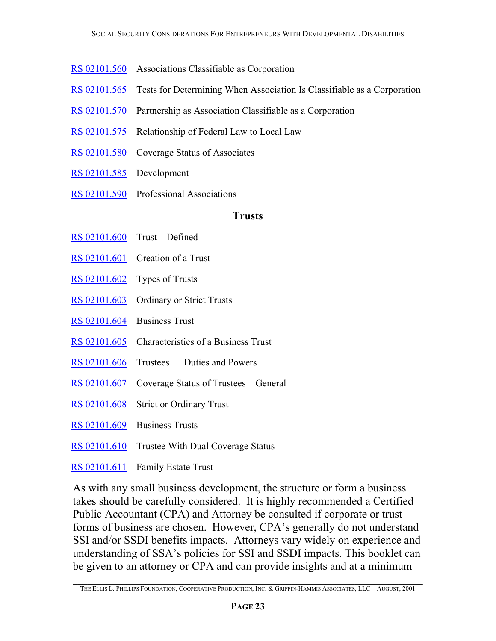- RS 02101.560 Associations Classifiable as Corporation
- RS 02101.565 Tests for Determining When Association Is Classifiable as a Corporation
- RS 02101.570 Partnership as Association Classifiable as a Corporation
- RS 02101.575 Relationship of Federal Law to Local Law
- RS 02101.580 Coverage Status of Associates
- RS 02101.585 Development
- RS 02101.590 Professional Associations

#### **Trusts**

- RS 02101.600 Trust—Defined
- RS 02101.601 Creation of a Trust
- RS 02101.602 Types of Trusts
- RS 02101.603 Ordinary or Strict Trusts
- RS 02101.604 Business Trust
- RS 02101.605 Characteristics of a Business Trust
- RS 02101.606 Trustees Duties and Powers
- RS 02101.607 Coverage Status of Trustees—General
- RS 02101.608 Strict or Ordinary Trust
- RS 02101.609 Business Trusts
- RS 02101.610 Trustee With Dual Coverage Status
- RS 02101.611 Family Estate Trust

As with any small business development, the structure or form a business takes should be carefully considered. It is highly recommended a Certified Public Accountant (CPA) and Attorney be consulted if corporate or trust forms of business are chosen. However, CPA's generally do not understand SSI and/or SSDI benefits impacts. Attorneys vary widely on experience and understanding of SSA's policies for SSI and SSDI impacts. This booklet can be given to an attorney or CPA and can provide insights and at a minimum

**\_\_\_\_\_\_\_\_\_\_\_\_\_\_\_\_\_\_\_\_\_\_\_\_\_\_\_\_\_\_\_\_\_\_\_\_\_\_\_\_\_\_\_\_\_\_\_\_\_\_\_\_\_\_\_\_\_\_\_\_\_\_\_\_\_\_\_\_\_\_\_\_**  THE ELLIS L. PHILLIPS FOUNDATION, COOPERATIVE PRODUCTION, INC. & GRIFFIN-HAMMIS ASSOCIATES, LLC AUGUST, 2001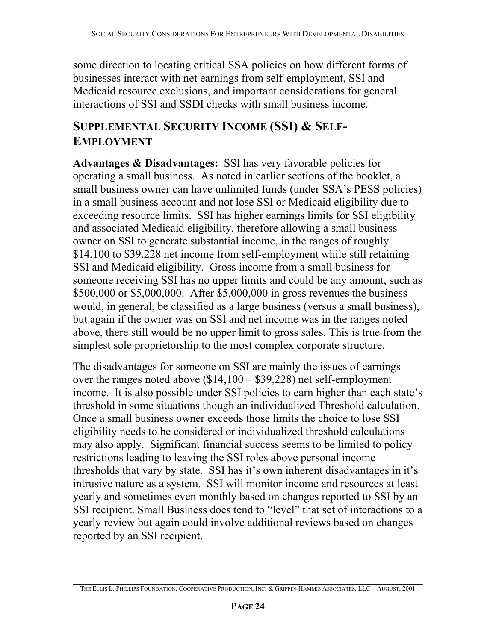some direction to locating critical SSA policies on how different forms of businesses interact with net earnings from self-employment, SSI and Medicaid resource exclusions, and important considerations for general interactions of SSI and SSDI checks with small business income.

# **SUPPLEMENTAL SECURITY INCOME (SSI) & SELF-EMPLOYMENT**

**Advantages & Disadvantages:** SSI has very favorable policies for operating a small business. As noted in earlier sections of the booklet, a small business owner can have unlimited funds (under SSA's PESS policies) in a small business account and not lose SSI or Medicaid eligibility due to exceeding resource limits. SSI has higher earnings limits for SSI eligibility and associated Medicaid eligibility, therefore allowing a small business owner on SSI to generate substantial income, in the ranges of roughly \$14,100 to \$39,228 net income from self-employment while still retaining SSI and Medicaid eligibility. Gross income from a small business for someone receiving SSI has no upper limits and could be any amount, such as \$500,000 or \$5,000,000. After \$5,000,000 in gross revenues the business would, in general, be classified as a large business (versus a small business), but again if the owner was on SSI and net income was in the ranges noted above, there still would be no upper limit to gross sales. This is true from the simplest sole proprietorship to the most complex corporate structure.

The disadvantages for someone on SSI are mainly the issues of earnings over the ranges noted above (\$14,100 – \$39,228) net self-employment income. It is also possible under SSI policies to earn higher than each state's threshold in some situations though an individualized Threshold calculation. Once a small business owner exceeds those limits the choice to lose SSI eligibility needs to be considered or individualized threshold calculations may also apply. Significant financial success seems to be limited to policy restrictions leading to leaving the SSI roles above personal income thresholds that vary by state. SSI has it's own inherent disadvantages in it's intrusive nature as a system. SSI will monitor income and resources at least yearly and sometimes even monthly based on changes reported to SSI by an SSI recipient. Small Business does tend to "level" that set of interactions to a yearly review but again could involve additional reviews based on changes reported by an SSI recipient.

**\_\_\_\_\_\_\_\_\_\_\_\_\_\_\_\_\_\_\_\_\_\_\_\_\_\_\_\_\_\_\_\_\_\_\_\_\_\_\_\_\_\_\_\_\_\_\_\_\_\_\_\_\_\_\_\_\_\_\_\_\_\_\_\_\_\_\_\_\_\_\_\_**  THE ELLIS L. PHILLIPS FOUNDATION, COOPERATIVE PRODUCTION, INC. & GRIFFIN-HAMMIS ASSOCIATES, LLC AUGUST, 2001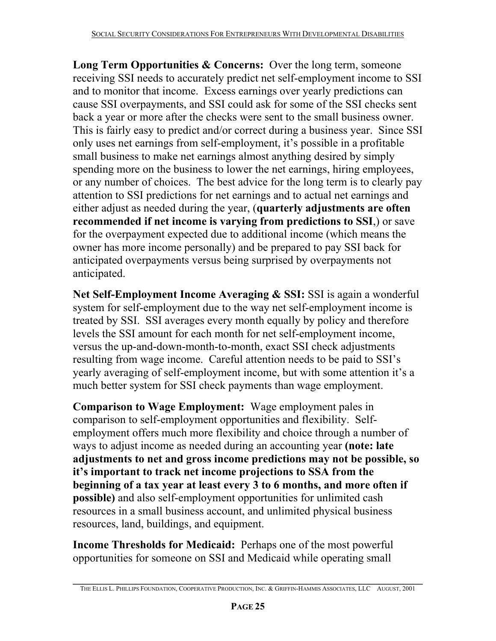**Long Term Opportunities & Concerns:** Over the long term, someone receiving SSI needs to accurately predict net self-employment income to SSI and to monitor that income. Excess earnings over yearly predictions can cause SSI overpayments, and SSI could ask for some of the SSI checks sent back a year or more after the checks were sent to the small business owner. This is fairly easy to predict and/or correct during a business year. Since SSI only uses net earnings from self-employment, it's possible in a profitable small business to make net earnings almost anything desired by simply spending more on the business to lower the net earnings, hiring employees, or any number of choices. The best advice for the long term is to clearly pay attention to SSI predictions for net earnings and to actual net earnings and either adjust as needed during the year, (**quarterly adjustments are often recommended if net income is varying from predictions to SSI**,) or save for the overpayment expected due to additional income (which means the owner has more income personally) and be prepared to pay SSI back for anticipated overpayments versus being surprised by overpayments not anticipated.

**Net Self-Employment Income Averaging & SSI:** SSI is again a wonderful system for self-employment due to the way net self-employment income is treated by SSI. SSI averages every month equally by policy and therefore levels the SSI amount for each month for net self-employment income, versus the up-and-down-month-to-month, exact SSI check adjustments resulting from wage income. Careful attention needs to be paid to SSI's yearly averaging of self-employment income, but with some attention it's a much better system for SSI check payments than wage employment.

**Comparison to Wage Employment:** Wage employment pales in comparison to self-employment opportunities and flexibility. Selfemployment offers much more flexibility and choice through a number of ways to adjust income as needed during an accounting year **(note: late adjustments to net and gross income predictions may not be possible, so it's important to track net income projections to SSA from the beginning of a tax year at least every 3 to 6 months, and more often if possible)** and also self-employment opportunities for unlimited cash resources in a small business account, and unlimited physical business resources, land, buildings, and equipment.

**Income Thresholds for Medicaid:** Perhaps one of the most powerful opportunities for someone on SSI and Medicaid while operating small

**\_\_\_\_\_\_\_\_\_\_\_\_\_\_\_\_\_\_\_\_\_\_\_\_\_\_\_\_\_\_\_\_\_\_\_\_\_\_\_\_\_\_\_\_\_\_\_\_\_\_\_\_\_\_\_\_\_\_\_\_\_\_\_\_\_\_\_\_\_\_\_\_**  THE ELLIS L. PHILLIPS FOUNDATION, COOPERATIVE PRODUCTION, INC. & GRIFFIN-HAMMIS ASSOCIATES, LLC AUGUST, 2001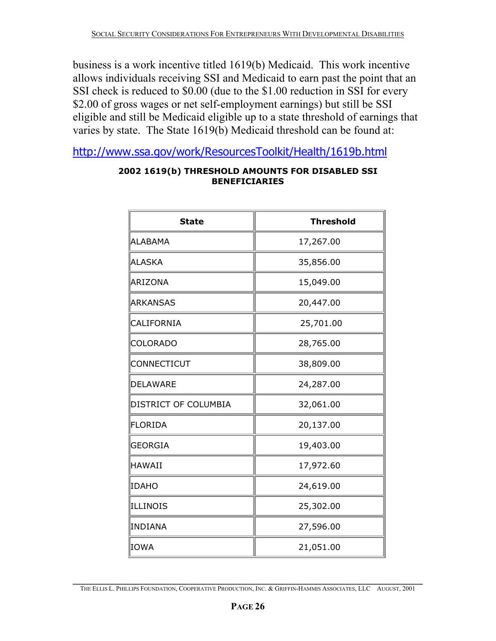business is a work incentive titled 1619(b) Medicaid. This work incentive allows individuals receiving SSI and Medicaid to earn past the point that an SSI check is reduced to \$0.00 (due to the \$1.00 reduction in SSI for every \$2.00 of gross wages or net self-employment earnings) but still be SSI eligible and still be Medicaid eligible up to a state threshold of earnings that varies by state. The State 1619(b) Medicaid threshold can be found at:

http://www.ssa.gov/work/ResourcesToolkit/Health/1619b.html

| <b>State</b>         | <b>Threshold</b> |
|----------------------|------------------|
| ALABAMA              | 17,267.00        |
| ALASKA               | 35,856.00        |
| ARIZONA              | 15,049.00        |
| <b>ARKANSAS</b>      | 20,447.00        |
| <b>CALIFORNIA</b>    | 25,701.00        |
| <b>COLORADO</b>      | 28,765.00        |
| CONNECTICUT          | 38,809.00        |
| <b>DELAWARE</b>      | 24,287.00        |
| DISTRICT OF COLUMBIA | 32,061.00        |
| <b>FLORIDA</b>       | 20,137.00        |
| <b>GEORGIA</b>       | 19,403.00        |
| <b>HAWAII</b>        | 17,972.60        |
| IDAHO                | 24,619.00        |
| ILLINOIS             | 25,302.00        |
| INDIANA              | 27,596.00        |
| IOWA                 | 21,051.00        |

#### **2002 1619(b) THRESHOLD AMOUNTS FOR DISABLED SSI BENEFICIARIES**

**\_\_\_\_\_\_\_\_\_\_\_\_\_\_\_\_\_\_\_\_\_\_\_\_\_\_\_\_\_\_\_\_\_\_\_\_\_\_\_\_\_\_\_\_\_\_\_\_\_\_\_\_\_\_\_\_\_\_\_\_\_\_\_\_\_\_\_\_\_\_\_\_**  THE ELLIS L. PHILLIPS FOUNDATION, COOPERATIVE PRODUCTION, INC. & GRIFFIN-HAMMIS ASSOCIATES, LLC AUGUST, 2001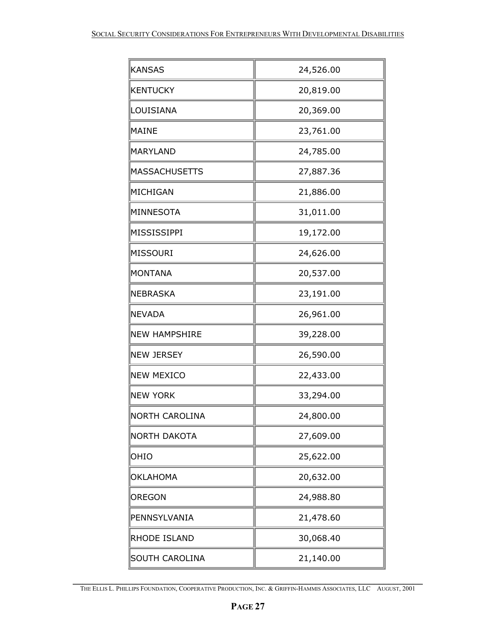| <b>KANSAS</b>        | 24,526.00 |
|----------------------|-----------|
| <b>KENTUCKY</b>      | 20,819.00 |
| LOUISIANA            | 20,369.00 |
| MAINE                | 23,761.00 |
| MARYLAND             | 24,785.00 |
| <b>MASSACHUSETTS</b> | 27,887.36 |
| MICHIGAN             | 21,886.00 |
| MINNESOTA            | 31,011.00 |
| MISSISSIPPI          | 19,172.00 |
| MISSOURI             | 24,626.00 |
| MONTANA              | 20,537.00 |
| NEBRASKA             | 23,191.00 |
| <b>NEVADA</b>        | 26,961.00 |
| <b>NEW HAMPSHIRE</b> | 39,228.00 |
| <b>NEW JERSEY</b>    | 26,590.00 |
| <b>NEW MEXICO</b>    | 22,433.00 |
| <b>NEW YORK</b>      | 33,294.00 |
| NORTH CAROLINA       | 24,800.00 |
| NORTH DAKOTA         | 27,609.00 |
| OHIO                 | 25,622.00 |
| OKLAHOMA             | 20,632.00 |
| <b>OREGON</b>        | 24,988.80 |
| PENNSYLVANIA         | 21,478.60 |
| RHODE ISLAND         | 30,068.40 |
| SOUTH CAROLINA       | 21,140.00 |

**\_\_\_\_\_\_\_\_\_\_\_\_\_\_\_\_\_\_\_\_\_\_\_\_\_\_\_\_\_\_\_\_\_\_\_\_\_\_\_\_\_\_\_\_\_\_\_\_\_\_\_\_\_\_\_\_\_\_\_\_\_\_\_\_\_\_\_\_\_\_\_\_**  THE ELLIS L. PHILLIPS FOUNDATION, COOPERATIVE PRODUCTION, INC. & GRIFFIN-HAMMIS ASSOCIATES, LLC AUGUST, 2001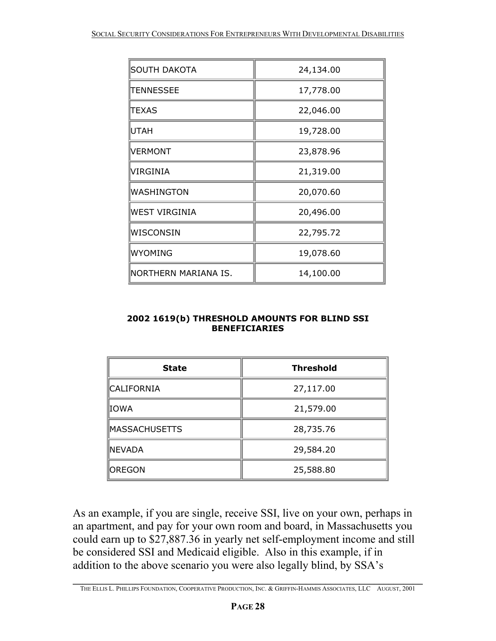| SOUTH DAKOTA         | 24,134.00 |
|----------------------|-----------|
| <b>TENNESSEE</b>     | 17,778.00 |
| ITEXAS               | 22,046.00 |
| <b>UTAH</b>          | 19,728.00 |
| VERMONT              | 23,878.96 |
| <b>VIRGINIA</b>      | 21,319.00 |
| <b>WASHINGTON</b>    | 20,070.60 |
| <b>WEST VIRGINIA</b> | 20,496.00 |
| WISCONSIN            | 22,795.72 |
| WYOMING              | 19,078.60 |
| NORTHERN MARIANA IS. | 14,100.00 |

#### **2002 1619(b) THRESHOLD AMOUNTS FOR BLIND SSI BENEFICIARIES**

| <b>State</b>         | <b>Threshold</b> |
|----------------------|------------------|
| ∥CALIFORNIA          | 27,117.00        |
| ∥IOWA                | 21,579.00        |
| <b>MASSACHUSETTS</b> | 28,735.76        |
| ∥NEVADA              | 29,584.20        |
| <b>OREGON</b>        | 25,588.80        |

As an example, if you are single, receive SSI, live on your own, perhaps in an apartment, and pay for your own room and board, in Massachusetts you could earn up to \$27,887.36 in yearly net self-employment income and still be considered SSI and Medicaid eligible. Also in this example, if in addition to the above scenario you were also legally blind, by SSA's

**\_\_\_\_\_\_\_\_\_\_\_\_\_\_\_\_\_\_\_\_\_\_\_\_\_\_\_\_\_\_\_\_\_\_\_\_\_\_\_\_\_\_\_\_\_\_\_\_\_\_\_\_\_\_\_\_\_\_\_\_\_\_\_\_\_\_\_\_\_\_\_\_**  THE ELLIS L. PHILLIPS FOUNDATION, COOPERATIVE PRODUCTION, INC. & GRIFFIN-HAMMIS ASSOCIATES, LLC AUGUST, 2001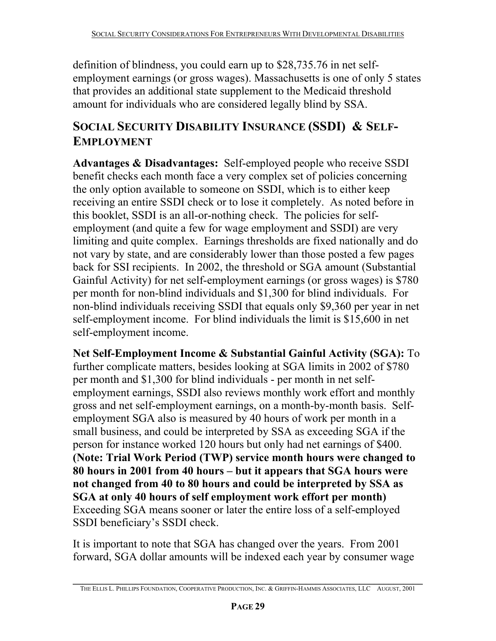definition of blindness, you could earn up to \$28,735.76 in net selfemployment earnings (or gross wages). Massachusetts is one of only 5 states that provides an additional state supplement to the Medicaid threshold amount for individuals who are considered legally blind by SSA.

# **SOCIAL SECURITY DISABILITY INSURANCE (SSDI) & SELF-EMPLOYMENT**

**Advantages & Disadvantages:** Self-employed people who receive SSDI benefit checks each month face a very complex set of policies concerning the only option available to someone on SSDI, which is to either keep receiving an entire SSDI check or to lose it completely. As noted before in this booklet, SSDI is an all-or-nothing check. The policies for selfemployment (and quite a few for wage employment and SSDI) are very limiting and quite complex. Earnings thresholds are fixed nationally and do not vary by state, and are considerably lower than those posted a few pages back for SSI recipients. In 2002, the threshold or SGA amount (Substantial Gainful Activity) for net self-employment earnings (or gross wages) is \$780 per month for non-blind individuals and \$1,300 for blind individuals. For non-blind individuals receiving SSDI that equals only \$9,360 per year in net self-employment income. For blind individuals the limit is \$15,600 in net self-employment income.

**Net Self-Employment Income & Substantial Gainful Activity (SGA):** To further complicate matters, besides looking at SGA limits in 2002 of \$780 per month and \$1,300 for blind individuals - per month in net selfemployment earnings, SSDI also reviews monthly work effort and monthly gross and net self-employment earnings, on a month-by-month basis. Selfemployment SGA also is measured by 40 hours of work per month in a small business, and could be interpreted by SSA as exceeding SGA if the person for instance worked 120 hours but only had net earnings of \$400. **(Note: Trial Work Period (TWP) service month hours were changed to 80 hours in 2001 from 40 hours – but it appears that SGA hours were not changed from 40 to 80 hours and could be interpreted by SSA as SGA at only 40 hours of self employment work effort per month)**  Exceeding SGA means sooner or later the entire loss of a self-employed SSDI beneficiary's SSDI check.

It is important to note that SGA has changed over the years. From 2001 forward, SGA dollar amounts will be indexed each year by consumer wage

**\_\_\_\_\_\_\_\_\_\_\_\_\_\_\_\_\_\_\_\_\_\_\_\_\_\_\_\_\_\_\_\_\_\_\_\_\_\_\_\_\_\_\_\_\_\_\_\_\_\_\_\_\_\_\_\_\_\_\_\_\_\_\_\_\_\_\_\_\_\_\_\_**  THE ELLIS L. PHILLIPS FOUNDATION, COOPERATIVE PRODUCTION, INC. & GRIFFIN-HAMMIS ASSOCIATES, LLC AUGUST, 2001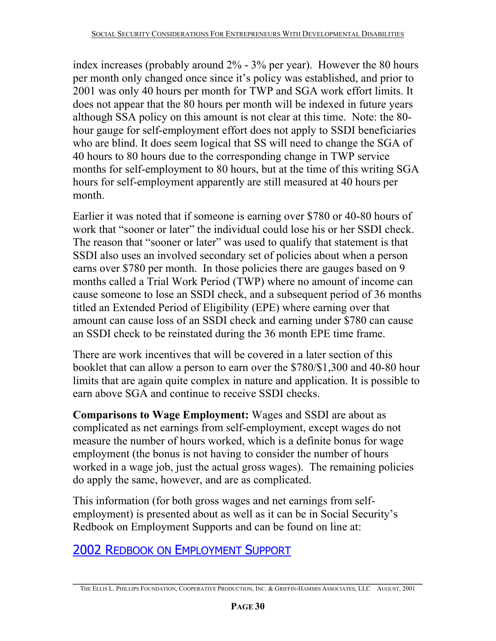index increases (probably around 2% - 3% per year). However the 80 hours per month only changed once since it's policy was established, and prior to 2001 was only 40 hours per month for TWP and SGA work effort limits. It does not appear that the 80 hours per month will be indexed in future years although SSA policy on this amount is not clear at this time. Note: the 80 hour gauge for self-employment effort does not apply to SSDI beneficiaries who are blind. It does seem logical that SS will need to change the SGA of 40 hours to 80 hours due to the corresponding change in TWP service months for self-employment to 80 hours, but at the time of this writing SGA hours for self-employment apparently are still measured at 40 hours per month.

Earlier it was noted that if someone is earning over \$780 or 40-80 hours of work that "sooner or later" the individual could lose his or her SSDI check. The reason that "sooner or later" was used to qualify that statement is that SSDI also uses an involved secondary set of policies about when a person earns over \$780 per month. In those policies there are gauges based on 9 months called a Trial Work Period (TWP) where no amount of income can cause someone to lose an SSDI check, and a subsequent period of 36 months titled an Extended Period of Eligibility (EPE) where earning over that amount can cause loss of an SSDI check and earning under \$780 can cause an SSDI check to be reinstated during the 36 month EPE time frame.

There are work incentives that will be covered in a later section of this booklet that can allow a person to earn over the \$780/\$1,300 and 40-80 hour limits that are again quite complex in nature and application. It is possible to earn above SGA and continue to receive SSDI checks.

**Comparisons to Wage Employment:** Wages and SSDI are about as complicated as net earnings from self-employment, except wages do not measure the number of hours worked, which is a definite bonus for wage employment (the bonus is not having to consider the number of hours worked in a wage job, just the actual gross wages). The remaining policies do apply the same, however, and are as complicated.

This information (for both gross wages and net earnings from selfemployment) is presented about as well as it can be in Social Security's Redbook on Employment Supports and can be found on line at:

2002 REDBOOK ON EMPLOYMENT SUPPORT

**\_\_\_\_\_\_\_\_\_\_\_\_\_\_\_\_\_\_\_\_\_\_\_\_\_\_\_\_\_\_\_\_\_\_\_\_\_\_\_\_\_\_\_\_\_\_\_\_\_\_\_\_\_\_\_\_\_\_\_\_\_\_\_\_\_\_\_\_\_\_\_\_**  THE ELLIS L. PHILLIPS FOUNDATION, COOPERATIVE PRODUCTION, INC. & GRIFFIN-HAMMIS ASSOCIATES, LLC AUGUST, 2001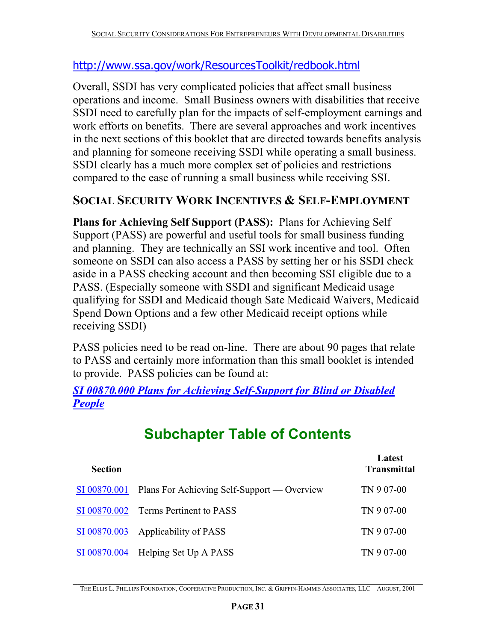# http://www.ssa.gov/work/ResourcesToolkit/redbook.html

Overall, SSDI has very complicated policies that affect small business operations and income. Small Business owners with disabilities that receive SSDI need to carefully plan for the impacts of self-employment earnings and work efforts on benefits. There are several approaches and work incentives in the next sections of this booklet that are directed towards benefits analysis and planning for someone receiving SSDI while operating a small business. SSDI clearly has a much more complex set of policies and restrictions compared to the ease of running a small business while receiving SSI.

# **SOCIAL SECURITY WORK INCENTIVES & SELF-EMPLOYMENT**

**Plans for Achieving Self Support (PASS):** Plans for Achieving Self Support (PASS) are powerful and useful tools for small business funding and planning. They are technically an SSI work incentive and tool. Often someone on SSDI can also access a PASS by setting her or his SSDI check aside in a PASS checking account and then becoming SSI eligible due to a PASS. (Especially someone with SSDI and significant Medicaid usage qualifying for SSDI and Medicaid though Sate Medicaid Waivers, Medicaid Spend Down Options and a few other Medicaid receipt options while receiving SSDI)

PASS policies need to be read on-line. There are about 90 pages that relate to PASS and certainly more information than this small booklet is intended to provide. PASS policies can be found at:

*SI 00870.000 Plans for Achieving Self-Support for Blind or Disabled People* 

| <b>Section</b> |                                                          | Latest<br><b>Transmittal</b> |
|----------------|----------------------------------------------------------|------------------------------|
|                | SI 00870.001 Plans For Achieving Self-Support — Overview | TN 9 07-00                   |
|                | SI 00870.002 Terms Pertinent to PASS                     | TN 9 07-00                   |
|                | SI 00870.003 Applicability of PASS                       | TN 9 07-00                   |
|                | SI 00870.004 Helping Set Up A PASS                       | TN 9 07-00                   |

# **Subchapter Table of Contents**

**\_\_\_\_\_\_\_\_\_\_\_\_\_\_\_\_\_\_\_\_\_\_\_\_\_\_\_\_\_\_\_\_\_\_\_\_\_\_\_\_\_\_\_\_\_\_\_\_\_\_\_\_\_\_\_\_\_\_\_\_\_\_\_\_\_\_\_\_\_\_\_\_**  THE ELLIS L. PHILLIPS FOUNDATION, COOPERATIVE PRODUCTION, INC. & GRIFFIN-HAMMIS ASSOCIATES, LLC AUGUST, 2001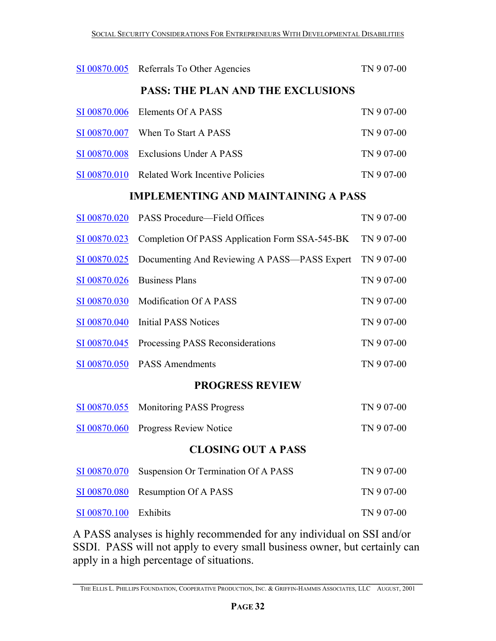| SI 00870.005                             | Referrals To Other Agencies                    | TN 907-00  |  |
|------------------------------------------|------------------------------------------------|------------|--|
| <b>PASS: THE PLAN AND THE EXCLUSIONS</b> |                                                |            |  |
| SI 00870.006                             | <b>Elements Of A PASS</b>                      | TN 907-00  |  |
| SI 00870.007                             | When To Start A PASS                           | TN 907-00  |  |
| SI 00870.008                             | <b>Exclusions Under A PASS</b>                 | TN 907-00  |  |
| SI 00870.010                             | <b>Related Work Incentive Policies</b>         | TN 907-00  |  |
|                                          | <b>IMPLEMENTING AND MAINTAINING A PASS</b>     |            |  |
| SI 00870.020                             | PASS Procedure—Field Offices                   | TN 907-00  |  |
| SI 00870.023                             | Completion Of PASS Application Form SSA-545-BK | TN 907-00  |  |
| <u>SI 00870.025</u>                      | Documenting And Reviewing A PASS—PASS Expert   | TN 907-00  |  |
| SI 00870.026                             | <b>Business Plans</b>                          | TN 907-00  |  |
| SI 00870.030                             | <b>Modification Of A PASS</b>                  | TN 907-00  |  |
| SI 00870.040                             | <b>Initial PASS Notices</b>                    | TN 907-00  |  |
| SI 00870.045                             | Processing PASS Reconsiderations               | TN 907-00  |  |
| SI 00870.050                             | <b>PASS Amendments</b>                         | TN 907-00  |  |
| <b>PROGRESS REVIEW</b>                   |                                                |            |  |
| SI 00870.055                             | <b>Monitoring PASS Progress</b>                | TN 907-00  |  |
| SI 00870.060                             | <b>Progress Review Notice</b>                  | TN 907-00  |  |
| <b>CLOSING OUT A PASS</b>                |                                                |            |  |
| SI 00870.070                             | Suspension Or Termination Of A PASS            | TN 907-00  |  |
| SI 00870.080                             | <b>Resumption Of A PASS</b>                    | TN 9 07-00 |  |
| SI 00870.100                             | Exhibits                                       | TN 907-00  |  |

A PASS analyses is highly recommended for any individual on SSI and/or SSDI. PASS will not apply to every small business owner, but certainly can apply in a high percentage of situations.

**\_\_\_\_\_\_\_\_\_\_\_\_\_\_\_\_\_\_\_\_\_\_\_\_\_\_\_\_\_\_\_\_\_\_\_\_\_\_\_\_\_\_\_\_\_\_\_\_\_\_\_\_\_\_\_\_\_\_\_\_\_\_\_\_\_\_\_\_\_\_\_\_**  THE ELLIS L. PHILLIPS FOUNDATION, COOPERATIVE PRODUCTION, INC. & GRIFFIN-HAMMIS ASSOCIATES, LLC AUGUST, 2001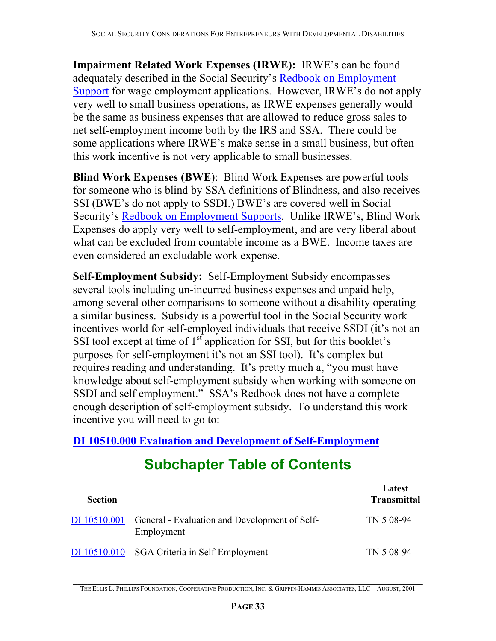**Impairment Related Work Expenses (IRWE):** IRWE's can be found adequately described in the Social Security's Redbook on Employment Support for wage employment applications. However, IRWE's do not apply very well to small business operations, as IRWE expenses generally would be the same as business expenses that are allowed to reduce gross sales to net self-employment income both by the IRS and SSA. There could be some applications where IRWE's make sense in a small business, but often this work incentive is not very applicable to small businesses.

**Blind Work Expenses (BWE**): Blind Work Expenses are powerful tools for someone who is blind by SSA definitions of Blindness, and also receives SSI (BWE's do not apply to SSDI.) BWE's are covered well in Social Security's Redbook on Employment Supports. Unlike IRWE's, Blind Work Expenses do apply very well to self-employment, and are very liberal about what can be excluded from countable income as a BWE. Income taxes are even considered an excludable work expense.

**Self-Employment Subsidy:** Self-Employment Subsidy encompasses several tools including un-incurred business expenses and unpaid help, among several other comparisons to someone without a disability operating a similar business. Subsidy is a powerful tool in the Social Security work incentives world for self-employed individuals that receive SSDI (it's not an SSI tool except at time of  $1<sup>st</sup>$  application for SSI, but for this booklet's purposes for self-employment it's not an SSI tool). It's complex but requires reading and understanding. It's pretty much a, "you must have knowledge about self-employment subsidy when working with someone on SSDI and self employment." SSA's Redbook does not have a complete enough description of self-employment subsidy. To understand this work incentive you will need to go to:

**DI 10510.000 Evaluation and Development of Self-Employment**

# **Subchapter Table of Contents**

| <b>Section</b> |                                                             | Latest<br><b>Transmittal</b> |
|----------------|-------------------------------------------------------------|------------------------------|
| DI 10510.001   | General - Evaluation and Development of Self-<br>Employment | TN 5 08-94                   |
| DI 10510.010   | SGA Criteria in Self-Employment                             | TN 5 08-94                   |

**\_\_\_\_\_\_\_\_\_\_\_\_\_\_\_\_\_\_\_\_\_\_\_\_\_\_\_\_\_\_\_\_\_\_\_\_\_\_\_\_\_\_\_\_\_\_\_\_\_\_\_\_\_\_\_\_\_\_\_\_\_\_\_\_\_\_\_\_\_\_\_\_**  THE ELLIS L. PHILLIPS FOUNDATION, COOPERATIVE PRODUCTION, INC. & GRIFFIN-HAMMIS ASSOCIATES, LLC AUGUST, 2001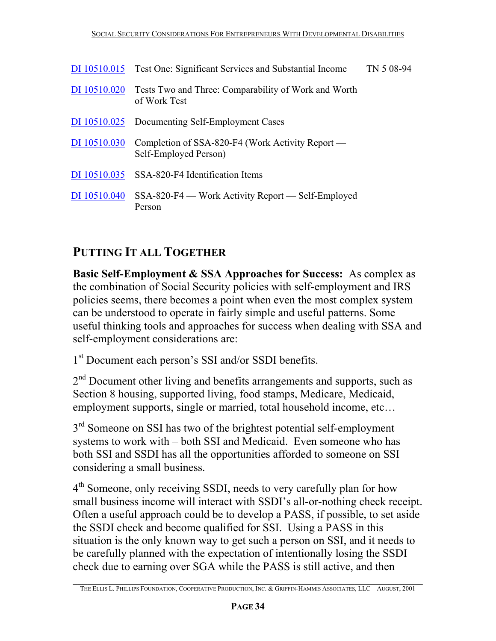|              | DI 10510.015 Test One: Significant Services and Substantial Income        | TN 5 08-94 |
|--------------|---------------------------------------------------------------------------|------------|
| DI 10510.020 | Tests Two and Three: Comparability of Work and Worth<br>of Work Test      |            |
|              | DI 10510.025 Documenting Self-Employment Cases                            |            |
| DI 10510.030 | Completion of SSA-820-F4 (Work Activity Report —<br>Self-Employed Person) |            |
|              | DI 10510.035 SSA-820-F4 Identification Items                              |            |
| DI 10510.040 | SSA-820-F4 — Work Activity Report — Self-Employed<br>Person               |            |

# **PUTTING IT ALL TOGETHER**

**Basic Self-Employment & SSA Approaches for Success:** As complex as the combination of Social Security policies with self-employment and IRS policies seems, there becomes a point when even the most complex system can be understood to operate in fairly simple and useful patterns. Some useful thinking tools and approaches for success when dealing with SSA and self-employment considerations are:

1<sup>st</sup> Document each person's SSI and/or SSDI benefits.

2<sup>nd</sup> Document other living and benefits arrangements and supports, such as Section 8 housing, supported living, food stamps, Medicare, Medicaid, employment supports, single or married, total household income, etc…

3<sup>rd</sup> Someone on SSI has two of the brightest potential self-employment systems to work with – both SSI and Medicaid. Even someone who has both SSI and SSDI has all the opportunities afforded to someone on SSI considering a small business.

4<sup>th</sup> Someone, only receiving SSDI, needs to very carefully plan for how small business income will interact with SSDI's all-or-nothing check receipt. Often a useful approach could be to develop a PASS, if possible, to set aside the SSDI check and become qualified for SSI. Using a PASS in this situation is the only known way to get such a person on SSI, and it needs to be carefully planned with the expectation of intentionally losing the SSDI check due to earning over SGA while the PASS is still active, and then

**\_\_\_\_\_\_\_\_\_\_\_\_\_\_\_\_\_\_\_\_\_\_\_\_\_\_\_\_\_\_\_\_\_\_\_\_\_\_\_\_\_\_\_\_\_\_\_\_\_\_\_\_\_\_\_\_\_\_\_\_\_\_\_\_\_\_\_\_\_\_\_\_**  THE ELLIS L. PHILLIPS FOUNDATION, COOPERATIVE PRODUCTION, INC. & GRIFFIN-HAMMIS ASSOCIATES, LLC AUGUST, 2001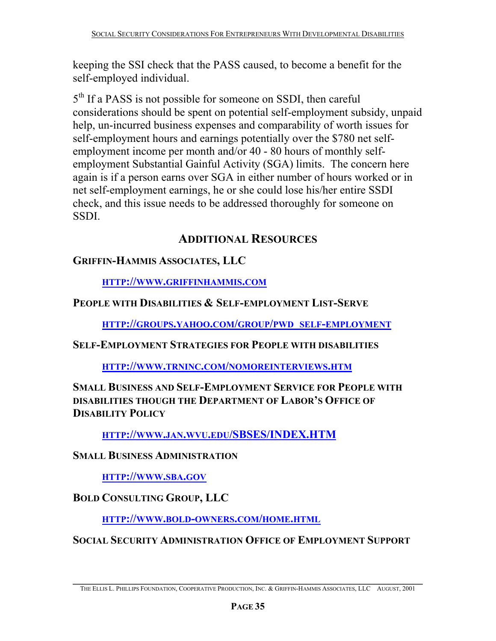keeping the SSI check that the PASS caused, to become a benefit for the self-employed individual.

5<sup>th</sup> If a PASS is not possible for someone on SSDI, then careful considerations should be spent on potential self-employment subsidy, unpaid help, un-incurred business expenses and comparability of worth issues for self-employment hours and earnings potentially over the \$780 net selfemployment income per month and/or 40 - 80 hours of monthly selfemployment Substantial Gainful Activity (SGA) limits. The concern here again is if a person earns over SGA in either number of hours worked or in net self-employment earnings, he or she could lose his/her entire SSDI check, and this issue needs to be addressed thoroughly for someone on SSDI.

# **ADDITIONAL RESOURCES**

#### **GRIFFIN-HAMMIS ASSOCIATES, LLC**

**HTTP://WWW.GRIFFINHAMMIS.COM**

#### **PEOPLE WITH DISABILITIES & SELF-EMPLOYMENT LIST-SERVE**

**HTTP://GROUPS.YAHOO.COM/GROUP/PWD\_SELF-EMPLOYMENT**

**SELF-EMPLOYMENT STRATEGIES FOR PEOPLE WITH DISABILITIES**

**HTTP://WWW.TRNINC.COM/NOMOREINTERVIEWS.HTM**

**SMALL BUSINESS AND SELF-EMPLOYMENT SERVICE FOR PEOPLE WITH DISABILITIES THOUGH THE DEPARTMENT OF LABOR'S OFFICE OF DISABILITY POLICY**

**HTTP://WWW.JAN.WVU.EDU/SBSES/INDEX.HTM**

**SMALL BUSINESS ADMINISTRATION**

**HTTP://WWW.SBA.GOV**

**BOLD CONSULTING GROUP, LLC** 

**HTTP://WWW.BOLD-OWNERS.COM/HOME.HTML**

**SOCIAL SECURITY ADMINISTRATION OFFICE OF EMPLOYMENT SUPPORT**

**\_\_\_\_\_\_\_\_\_\_\_\_\_\_\_\_\_\_\_\_\_\_\_\_\_\_\_\_\_\_\_\_\_\_\_\_\_\_\_\_\_\_\_\_\_\_\_\_\_\_\_\_\_\_\_\_\_\_\_\_\_\_\_\_\_\_\_\_\_\_\_\_**  THE ELLIS L. PHILLIPS FOUNDATION, COOPERATIVE PRODUCTION, INC. & GRIFFIN-HAMMIS ASSOCIATES, LLC AUGUST, 2001